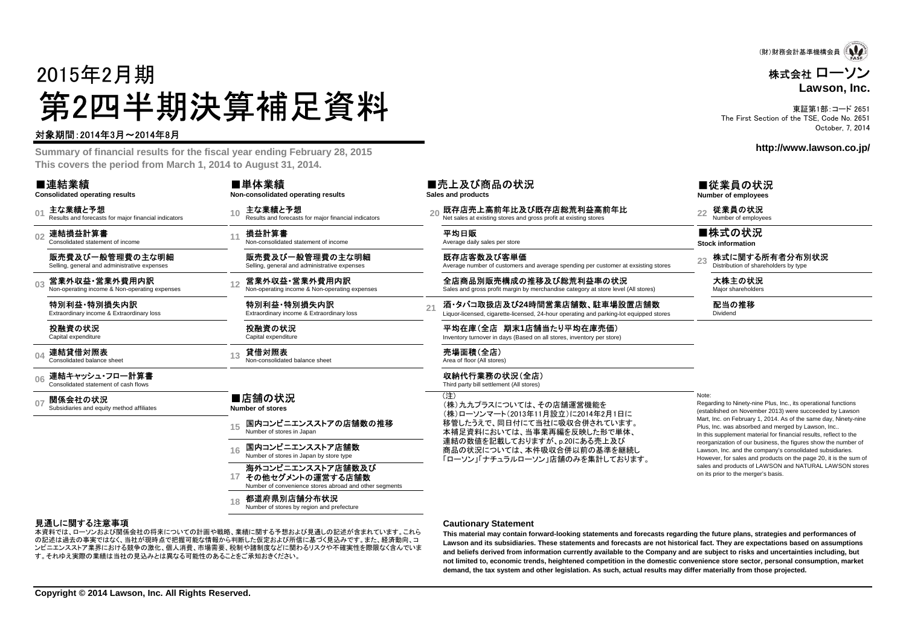

## 株式会社 ローソン**Lawson, Inc.**

東証第1部:コード 2651 The First Section of the TSE, Code No. 2651October, 7, 2014

**http://www.lawson.co.jp/**

#### ■従業員の状況

23 株式に関する所有者分布別状況

 Regarding to Ninety-nine Plus, Inc., its operational functions (established on November 2013) were succeeded by Lawson Mart, Inc. on February 1, 2014. As of the same day, Ninety-ninePlus, Inc. was absorbed and merged by Lawson, Inc.. In this supplement material for financial results, reflect to the reorganization of our business, the figures show the number ofLawson, Inc. and the company's consolidated subsidiaries. However, for sales and products on the page 20, it is the sum ofsales and products of LAWSON and NATURAL LAWSON stores

on its prior to the merger's basis.

**Number of employees**

■株式の状況 **Stock information**

配当の推移 Dividend

Note:



### 対象期間:2014年3月~2014年8月

 **Summary of financial results for the fiscal year ending February 28, 2015This covers the period from March 1, 2014 to August 31, 2014.**

#### ■連結業績

**Consolidated operating results**

 $\theta$ 主な業績と予想<br>Results and forecasts for major financial indicators

**02**連結損益計算書 Consolidated statement of income

販売費及び一般管理費の主な明細Selling, general and administrative expenses

**03**営業外収益・営業外費用内訳<br>Non-operating income & Non-operating expenses

特別利益・特別損失内訳Extraordinary income & Extraordinary loss

投融資の状況

Capital expenditure

**04**連結貸借対照表<br>Consolidated balance sheet

**06**連結キャッシュ・フロー計算書<br>Consolidated statement of cash flows

**07関係会社の状況**<br>Subsidiaries and equity method affiliates **Number of stores**

**15**

国内コンビニエンスストアの店舗数の推移<br>Number of stores in Japan

**16**国内コンビニエンスストア店舗数

**17**海外コンビニエンスストア店舗数及びその他セグメントの運営する店舗数

Number of convenience stores abroad and other segments

**18都道府県別店舗分布状況**<br>Number of stores by region and prefecture

#### 見通しに関する注意事項

 の記述は過去の事実ではなく、当社が現時点で把握可能な情報から判断した仮定および所信に基づく見込みです。また、経済動向、コ本資料では、ローソンおよび関係会社の将来についての計画や戦略、業績に関する予想および見通しの記述が含まれています。これら ンビニエンスストア業界における競争の激化、個人消費、市場需要、税制や諸制度などに関わるリスクや不確実性を際限なく含んでいます。それゆえ実際の業績は当社の見込みとは異なる可能性のあることをご承知おきください。

#### **Cautionary Statement**

既存店客数及び客単価

■売上及び商品の状況

**Sales and products**

収納代行業務の状況(全店) Third party bill settlement (All stores)

(注)

Average number of customers and average spending per customer at exsisting stores

**酒・タバコ取扱店及び24時間営業店舗数、駐車場設置店舗数**<br>Liquor-licensed, cigarette-licensed, 24-hour operating and parking-lot equipped stores

平均在庫(全店 期末**1**店舗当たり平均在庫売価)Inventory turnover in days (Based on all stores, inventory per store)

 (株)九九プラスについては、その店舗運営機能を (株)ローソンマート(2013年11月設立)に2014年2月1日に 移管したうえで、同日付にて当社に吸収合併されています。 本補足資料においては、当事業再編を反映した形で単体、連結の数値を記載しておりますが、p.20にある売上及び 商品の状況については、本件吸収合併以前の基準を継続し「ローソン」「ナチュラルローソン」店舗のみを集計しております。

 **This material may contain forward-looking statements and forecasts regarding the future plans, strategies and performances of Lawson and its subsidiaries. These statements and forecasts are not historical fact. They are expectations based on assumptions and beliefs derived from information currently available to the Company and are subject to risks and uncertainties including, but not limited to, economic trends, heightened competition in the domestic convenience store sector, personal consumption, marketdemand, the tax system and other legislation. As such, actual results may differ materially from those projected.**

■単体業績 **Non-consolidated operating results**

**<sup>10</sup>** 主な業績と予想 Results and forecasts for major financial indicators **<sup>20</sup>** 既存店売上高前年比及び既存店総荒利益高前年比 Net sales at existing stores and gross profit at existing stores **<sup>22</sup>** 従業員の状況 Number of employees

11 **損益計算書**<br>11 Non-consolidated statement of income Average daily sales per store

販売費及び一般管理費の主な明細Selling, general and administrative expenses

12 営業外収益•営業外費用内訳 Non-operating expenses 全店商品別販売構成の推移及び総荒利益率の状況 Sale**s and gross profit margin by merchandise** category at store level (All stores) Major shareholders<br>Non-operating income & Non-operating ex

特別利益・特別損失内訳Extraordinary income & Extraordinary loss

投融資の状況Capital expenditure

13 **貸借対照表**<br>13 Non-consolidated balance sheet Area of floor (All stores)

### ■店舗の状況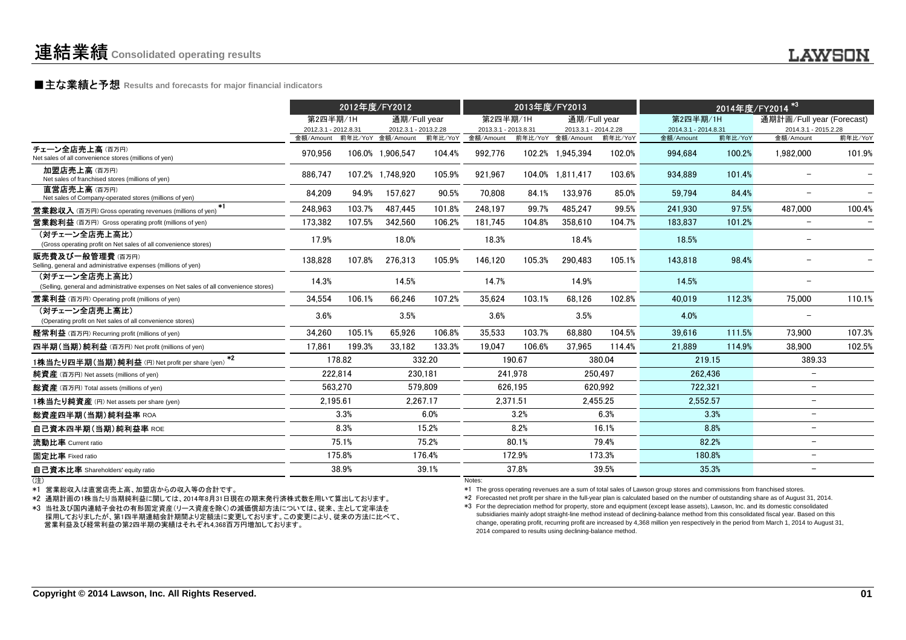## **LAWSON**

**■主な業績と予想** Results and forecasts for major financial indicators<br>
————————————————————

|                                                                                                        | 2012年度/FY2012                                       |         |                      |          | 2013年度/FY2013                     |                          |                                           | 2014年度/FY2014 <sup>*3</sup> |                                   |                           |                                   |         |
|--------------------------------------------------------------------------------------------------------|-----------------------------------------------------|---------|----------------------|----------|-----------------------------------|--------------------------|-------------------------------------------|-----------------------------|-----------------------------------|---------------------------|-----------------------------------|---------|
|                                                                                                        | 第2四半期/1H                                            |         | 通期/Full year         |          |                                   | 通期/Full year<br>第2四半期/1H |                                           | 第2四半期/1H                    |                                   | 通期計画/Full year (Forecast) |                                   |         |
|                                                                                                        | 2012.3.1 - 2012.8.31<br>金額/Amount 前年比/YoY 金額/Amount |         | 2012.3.1 - 2013.2.28 | 前年比/YoY  | 2013.3.1 - 2013.8.31<br>金額/Amount |                          | 2013.3.1 - 2014.2.28<br>前年比/YoY 金額/Amount | 前年比/YoY                     | 2014.3.1 - 2014.8.31<br>金額/Amount | 前年比/YoY                   | 2014.3.1 - 2015.2.28<br>金額/Amount | 前年比/YoY |
| チェーン全店売上高(百万円)<br>Net sales of all convenience stores (millions of yen)                                | 970,956                                             |         | 106.0% 1,906,547     | 104.4%   | 992,776                           |                          | 102.2% 1,945,394                          | 102.0%                      | 994.684                           | 100.2%                    | 1,982,000                         | 101.9%  |
| 加盟店売上高(百万円)<br>Net sales of franchised stores (millions of yen)                                        | 886,747                                             |         | 107.2% 1.748.920     | 105.9%   | 921,967                           |                          | 104.0% 1.811.417                          | 103.6%                      | 934.889                           | 101.4%                    |                                   |         |
| 直営店売上高(百万円)<br>Net sales of Company-operated stores (millions of yen)                                  | 84.209                                              | 94.9%   | 157.627              | 90.5%    | 70.808                            | 84.1%                    | 133.976                                   | 85.0%                       | 59.794                            | 84.4%                     |                                   |         |
| *1<br><b>営業総収入</b> (百万円) Gross operating revenues (millions of yen)                                    | 248,963                                             | 103.7%  | 487.445              | 101.8%   | 248.197                           | 99.7%                    | 485.247                                   | 99.5%                       | 241.930                           | 97.5%                     | 487.000                           | 100.4%  |
| <b>営業総利益</b> (百万円) Gross operating profit (millions of yen)                                            | 173,382                                             | 107.5%  | 342.560              | 106.2%   | 181.745                           | 104.8%                   | 358.610                                   | 104.7%                      | 183.837                           | 101.2%                    |                                   |         |
| (対チェーン全店売上高比)<br>(Gross operating profit on Net sales of all convenience stores)                       | 17.9%                                               |         | 18.0%                |          | 18.3%                             |                          | 18.4%                                     |                             | 18.5%                             |                           |                                   |         |
| 販売費及び一般管理費(百万円)<br>Selling, general and administrative expenses (millions of yen)                      | 138,828                                             | 107.8%  | 276,313              | 105.9%   | 146,120                           | 105.3%                   | 290,483                                   | 105.1%                      | 143.818                           | 98.4%                     |                                   |         |
| (対チェーン全店売上高比)<br>(Selling, general and administrative expenses on Net sales of all convenience stores) | 14.3%                                               |         | 14.5%                |          | 14.7%                             |                          | 14.9%                                     |                             | 14.5%                             |                           |                                   |         |
| <b>営業利益</b> (百万円) Operating profit (millions of yen)                                                   | 34,554                                              | 106.1%  | 66,246               | 107.2%   | 35.624                            | 103.1%                   | 68,126                                    | 102.8%                      | 40.019                            | 112.3%                    | 75,000                            | 110.1%  |
| (対チェーン全店売上高比)<br>(Operating profit on Net sales of all convenience stores)                             | 3.6%                                                |         | 3.5%                 |          | 3.6%                              |                          | 3.5%                                      |                             | 4.0%                              |                           |                                   |         |
| 経常利益 (百万円) Recurring profit (millions of yen)                                                          | 34,260                                              | 105.1%  | 65.926               | 106.8%   | 35,533                            | 103.7%                   | 68.880                                    | 104.5%                      | 39.616                            | 111.5%                    | 73.900                            | 107.3%  |
| 四半期(当期)純利益 (百万円) Net profit (millions of yen)                                                          | 17.861                                              | 199.3%  | 33.182               | 133.3%   | 19.047                            | 106.6%                   | 37.965                                    | 114.4%                      | 21.889                            | 114.9%                    | 38,900                            | 102.5%  |
| $+2$<br>1株当たり四半期(当期)純利益 (円) Net profit per share (yen)                                                 |                                                     | 178.82  |                      | 332.20   |                                   | 190.67                   |                                           | 380.04                      | 219.15                            |                           | 389.33                            |         |
| <b>純資産</b> (百万円) Net assets (millions of yen)                                                          |                                                     | 222,814 |                      | 230,181  |                                   | 241.978                  |                                           | 250,497                     | 262,436                           |                           | $\overline{\phantom{m}}$          |         |
| 総資産 (百万円) Total assets (millions of yen)                                                               |                                                     | 563,270 |                      | 579.809  |                                   | 626,195                  |                                           | 620.992                     | 722,321                           |                           | $\overline{\phantom{0}}$          |         |
| 1株当たり純資産 (円) Net assets per share (yen)                                                                | 2,195.61                                            |         |                      | 2,267.17 |                                   | 2,371.51                 |                                           | 2,455.25                    | 2,552.57                          |                           | $\overline{\phantom{m}}$          |         |
| 総資産四半期(当期)純利益率 ROA                                                                                     |                                                     | 3.3%    |                      | 6.0%     |                                   | 3.2%                     |                                           | 6.3%                        |                                   | 3.3%                      | $\overline{\phantom{0}}$          |         |
| 自己資本四半期(当期)純利益率 ROE                                                                                    |                                                     | 8.3%    |                      | 15.2%    |                                   | 8.2%                     |                                           | 16.1%                       |                                   | 8.8%                      | $\overline{\phantom{m}}$          |         |
| 流動比率 Current ratio                                                                                     |                                                     | 75.1%   |                      | 75.2%    |                                   | 80.1%                    |                                           | 79.4%                       |                                   | 82.2%                     | $\overline{\phantom{0}}$          |         |
| 固定比率 Fixed ratio                                                                                       |                                                     | 175.8%  |                      | 176.4%   |                                   | 172.9%                   |                                           | 173.3%                      |                                   | 180.8%                    | $\overline{\phantom{a}}$          |         |
| 自己資本比率 Shareholders' equity ratio                                                                      |                                                     | 38.9%   |                      | 39.1%    |                                   | 37.8%                    |                                           | 39.5%                       |                                   | 35.3%                     | $\overline{\phantom{0}}$          |         |
| (注)                                                                                                    |                                                     |         |                      |          | Notes:                            |                          |                                           |                             |                                   |                           |                                   |         |

(注)

\*1 営業総収入は直営店売上高、加盟店からの収入等の合計です。

\*2 通期計画の1株当たり当期純利益に関しては、2014年8月31日現在の期末発行済株式数を用いて算出しております。

 \*3 当社及び国内連結子会社の有形固定資産(リース資産を除く)の減価償却方法については、従来、主として定率法を 採用しておりましたが、第1四半期連結会計期間より定額法に変更しております。この変更により、従来の方法に比べて、営業利益及び経常利益の第2四半期の実績はそれぞれ4,368百万円増加しております。

\*1 The gross operating revenues are a sum of total sales of Lawson group stores and commissions from franchised stores.

\*2 Forecasted net profit per share in the full-year plan is calculated based on the number of outstanding share as of August 31, 2014.

\*3 For the depreciation method for property, store and equipment (except lease assets), Lawson, Inc. and its domestic consolidated subsidiaries mainly adopt straight-line method instead of declining-balance method from this consolidated fiscal year. Based on this change, operating profit, recurring profit are increased by 4,368 million yen respectively in the period from March 1, 2014 to August 31,2014 compared to results using declining-balance method.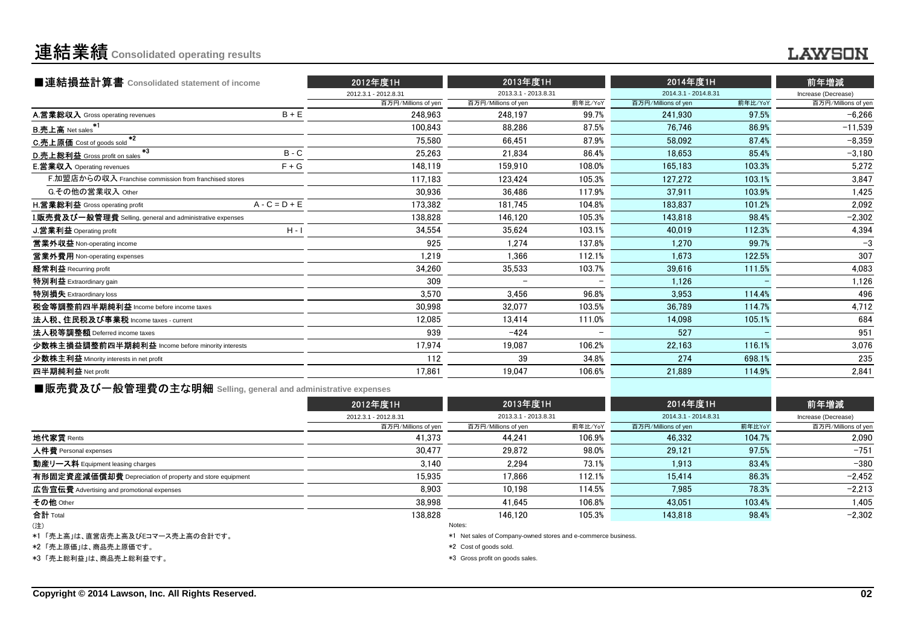## 連結業績**Consolidated operating results**

## **LAWSON**

| ■連結損益計算書 Consolidated statement of income                 |                 | 2012年度1H             | 2013年度1H             |                          | 2014年度1H             |         | 前年増減<br>Increase (Decrease) |  |
|-----------------------------------------------------------|-----------------|----------------------|----------------------|--------------------------|----------------------|---------|-----------------------------|--|
|                                                           |                 | 2012.3.1 - 2012.8.31 | 2013.3.1 - 2013.8.31 |                          | 2014.3.1 - 2014.8.31 |         |                             |  |
|                                                           |                 | 百万円/Millions of yen  | 百万円/Millions of yen  | 前年比/YoY                  | 百万円/Millions of yen  | 前年比/YoY | 百万円/Millions of yen         |  |
| A.営業総収入 Gross operating revenues                          | $B + E$         | 248,963              | 248.197              | 99.7%                    | 241.930              | 97.5%   | $-6,266$                    |  |
| <b>B.売上高</b> Net sales                                    |                 | 100.843              | 88.286               | 87.5%                    | 76.746               | 86.9%   | $-11.539$                   |  |
| $*2$<br>C.売上原価 Cost of goods sold                         |                 | 75,580               | 66.451               | 87.9%                    | 58.092               | 87.4%   | $-8,359$                    |  |
| $*3$<br>D.売上総利益 Gross profit on sales                     | $B - C$         | 25,263               | 21.834               | 86.4%                    | 18.653               | 85.4%   | $-3,180$                    |  |
| <b>E. 営業収入</b> Operating revenues                         | $F + G$         | 148,119              | 159.910              | 108.0%                   | 165.183              | 103.3%  | 5,272                       |  |
| F.加盟店からの収入 Franchise commission from franchised stores    |                 | 117,183              | 123.424              | 105.3%                   | 127,272              | 103.1%  | 3,847                       |  |
| G.その他の営業収入 Other                                          |                 | 30,936               | 36.486               | 117.9%                   | 37,911               | 103.9%  | 1,425                       |  |
| H.営業総利益 Gross operating profit                            | $A - C = D + E$ | 173.382              | 181.745              | 104.8%                   | 183.837              | 101.2%  | 2,092                       |  |
| I.販売費及び一般管理費 Selling, general and administrative expenses |                 | 138,828              | 146.120              | 105.3%                   | 143.818              | 98.4%   | $-2,302$                    |  |
| J.営業利益 Operating profit                                   | $H - I$         | 34,554               | 35,624               | 103.1%                   | 40,019               | 112.3%  | 4,394                       |  |
| 営業外収益 Non-operating income                                |                 | 925                  | 1.274                | 137.8%                   | 1,270                | 99.7%   | $-3$                        |  |
| 営業外費用 Non-operating expenses                              |                 | 1.219                | 1.366                | 112.1%                   | 1.673                | 122.5%  | 307                         |  |
| 経常利益 Recurring profit                                     |                 | 34,260               | 35,533               | 103.7%                   | 39,616               | 111.5%  | 4,083                       |  |
| 特別利益 Extraordinary gain                                   |                 | 309                  |                      |                          | 1.126                |         | 1,126                       |  |
| 特別損失 Extraordinary loss                                   |                 | 3,570                | 3.456                | 96.8%                    | 3.953                | 114.4%  | 496                         |  |
| 税金等調整前四半期純利益 Income before income taxes                   |                 | 30.998               | 32.077               | 103.5%                   | 36.789               | 114.7%  | 4,712                       |  |
| 法人税、住民税及び事業税 Income taxes - current                       |                 | 12,085               | 13,414               | 111.0%                   | 14,098               | 105.1%  | 684                         |  |
| 法人税等調整額 Deferred income taxes                             |                 | 939                  | $-424$               | $\overline{\phantom{m}}$ | 527                  |         | 951                         |  |
| 少数株主損益調整前四半期純利益 Income before minority interests          |                 | 17,974               | 19,087               | 106.2%                   | 22,163               | 116.1%  | 3,076                       |  |
| 少数株主利益 Minority interests in net profit                   |                 | 112                  | 39                   | 34.8%                    | 274                  | 698.1%  | 235                         |  |
| 四半期純利益 Net profit                                         |                 | 17,861               | 19,047               | 106.6%                   | 21,889               | 114.9%  | 2,841                       |  |
|                                                           |                 |                      |                      |                          |                      |         |                             |  |

■販売費及び一般管理費の主な明細 **Selling, general and administrative expenses**

|                                                          | 2012年度1H             | 2013年度1H<br>2013.3.1 - 2013.8.31 |         | 2014年度1H<br>2014.3.1 - 2014.8.31 |        | 前年増減<br>Increase (Decrease) |  |
|----------------------------------------------------------|----------------------|----------------------------------|---------|----------------------------------|--------|-----------------------------|--|
|                                                          | 2012.3.1 - 2012.8.31 |                                  |         |                                  |        |                             |  |
|                                                          | 百万円/Millions of yen  | 百万円/Millions of yen              | 前年比/YoY | 百万円/Millions of yen              | 前年比YoY | 百万円/Millions of yen         |  |
| 地代家賃 Rents                                               | 41,373               | 44.241                           | 106.9%  | 46,332                           | 104.7% | 2,090                       |  |
| 人件費 Personal expenses                                    | 30.477               | 29.872                           | 98.0%   | 29.121                           | 97.5%  | $-751$                      |  |
| 動産リース料 Equipment leasing charges                         | 3.140                | 2.294                            | 73.1%   | 1,913                            | 83.4%  | $-380$                      |  |
| 有形固定資産減価償却費 Depreciation of property and store equipment | 15.935               | 17.866                           | 112.1%  | 15.414                           | 86.3%  | $-2,452$                    |  |
| 広告宣伝費 Advertising and promotional expenses               | 8.903                | 10.198                           | 114.5%  | 7.985                            | 78.3%  | $-2,213$                    |  |
| その他 Other                                                | 38.998               | 41.645                           | 106.8%  | 43.051                           | 103.4% | 1,405                       |  |
| 合計 Total                                                 | 138.828              | 146.120                          | 105.3%  | 143.818                          | 98.4%  | $-2.302$                    |  |
| (注)                                                      |                      | Notes:                           |         |                                  |        |                             |  |

(注)

\*1 「売上高」は、直営店売上高及びEコマース売上高の合計です。

\*2 「売上原価」は、商品売上原価です。

\*3 「売上総利益」は、商品売上総利益です。

Notes:

\*1 Net sales of Company-owned stores and e-commerce business.

\*2 Cost of goods sold.

\*3 Gross profit on goods sales.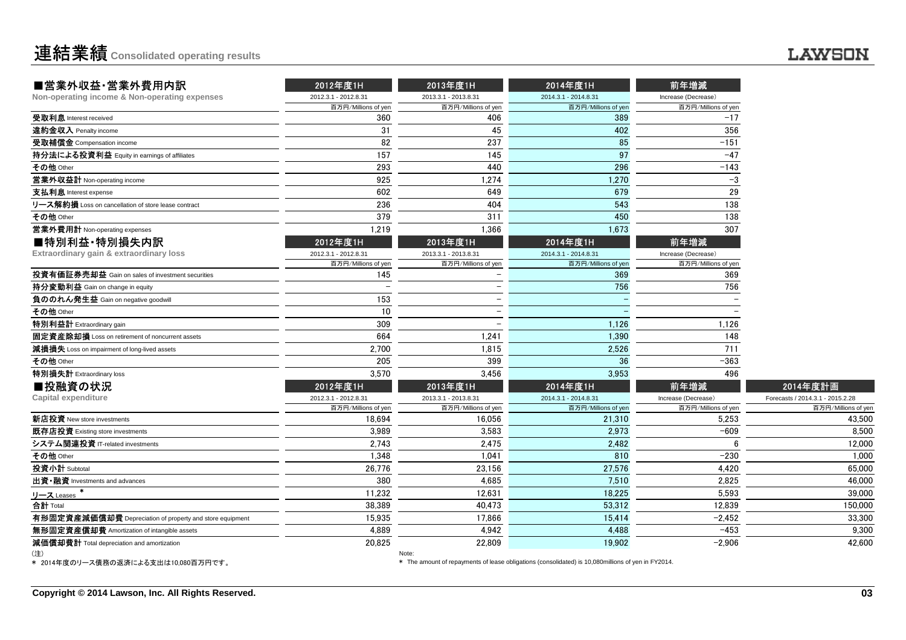| ■営業外収益·営業外費用内訳                                           | 2012年度1H             | 2013年度1H             | 2014年度1H             | 前年増減                |                                  |
|----------------------------------------------------------|----------------------|----------------------|----------------------|---------------------|----------------------------------|
| Non-operating income & Non-operating expenses            | 2012.3.1 - 2012.8.31 | 2013.3.1 - 2013.8.31 | 2014.3.1 - 2014.8.31 | Increase (Decrease) |                                  |
|                                                          | 百万円/Millions of yen  | 百万円/Millions of yen  | 百万円/Millions of yen  | 百万円/Millions of yen |                                  |
| 受取利息 Interest received                                   | 360                  | 406                  | 389                  | $-17$               |                                  |
| 違約金収入 Penalty income                                     | 31                   | 45                   | 402                  | 356                 |                                  |
| 受取補償金 Compensation income                                | 82                   | 237                  | 85                   | $-151$              |                                  |
| 持分法による投資利益 Equity in earnings of affiliates              | 157                  | 145                  | 97                   | $-47$               |                                  |
| その他 Other                                                | 293                  | 440                  | 296                  | $-143$              |                                  |
| 営業外収益計 Non-operating income                              | 925                  | 1,274                | 1,270                | $-3$                |                                  |
| 支払利息 Interest expense                                    | 602                  | 649                  | 679                  | 29                  |                                  |
| リース解約損 Loss on cancellation of store lease contract      | 236                  | 404                  | 543                  | 138                 |                                  |
| その他 Other                                                | 379                  | 311                  | 450                  | 138                 |                                  |
| 営業外費用計 Non-operating expenses                            | 1,219                | 1,366                | 1,673                | 307                 |                                  |
| ■特別利益·特別損失内訳                                             | 2012年度1H             | 2013年度1H             | 2014年度1H             | 前年増減                |                                  |
| Extraordinary gain & extraordinary loss                  | 2012.3.1 - 2012.8.31 | 2013.3.1 - 2013.8.31 | 2014.3.1 - 2014.8.31 | Increase (Decrease) |                                  |
|                                                          | 百万円/Millions of yen  | 百万円/Millions of yen  | 百万円/Millions of yen  | 百万円/Millions of yen |                                  |
| 投資有価証券売却益 Gain on sales of investment securities         | 145                  |                      | 369                  | 369                 |                                  |
| <b>持分変動利益</b> Gain on change in equity                   |                      |                      | 756                  | 756                 |                                  |
| 負ののれん発生益 Gain on negative goodwill                       | 153                  |                      |                      |                     |                                  |
| その他 Other                                                | 10                   |                      |                      |                     |                                  |
| 特別利益計 Extraordinary gain                                 | 309                  |                      | 1,126                | 1,126               |                                  |
| 固定資産除却損 Loss on retirement of noncurrent assets          | 664                  | 1,241                | 1,390                | 148                 |                                  |
| 減損損失 Loss on impairment of long-lived assets             | 2,700                | 1,815                | 2,526                | 711                 |                                  |
| その他 Other                                                | 205                  | 399                  | 36                   | $-363$              |                                  |
| 特別損失計 Extraordinary loss                                 | 3,570                | 3.456                | 3,953                | 496                 |                                  |
| ■投融資の状況                                                  | 2012年度1H             | 2013年度1H             | 2014年度1H             | 前年増減                | 2014年度計画                         |
| <b>Capital expenditure</b>                               | 2012.3.1 - 2012.8.31 | 2013.3.1 - 2013.8.31 | 2014.3.1 - 2014.8.31 | Increase (Decrease) | Forecasts / 2014.3.1 - 2015.2.28 |
|                                                          | 百万円/Millions of yen  | 百万円/Millions of yen  | 百万円/Millions of yen  | 百万円/Millions of yen | 百万円/Millions of yen              |
| 新店投資 New store investments                               | 18,694               | 16,056               | 21.310               | 5.253               | 43,500                           |
| 既存店投資 Existing store investments                         | 3,989                | 3,583                | 2,973                | $-609$              | 8,500                            |
| システム関連投資 IT-related investments                          | 2,743                | 2,475                | 2,482                | 6                   | 12,000                           |
| その他 Other                                                | 1,348                | 1,041                | 810                  | $-230$              | 1,000                            |
| 投資小計 Subtotal                                            | 26,776               | 23,156               | 27,576               | 4,420               | 65,000                           |
| 出資·融資 Investments and advances                           | 380                  | 4,685                | 7.510                | 2,825               | 46,000                           |
| リース Leases                                               | 11,232               | 12,631               | 18,225               | 5,593               | 39,000                           |
| 合計 Total                                                 | 38.389               | 40.473               | 53.312               | 12.839              | 150,000                          |
| 有形固定資産減価償却費 Depreciation of property and store equipment | 15,935               | 17.866               | 15,414               | $-2,452$            | 33,300                           |
| 無形固定資産償却費 Amortization of intangible assets              | 4,889                | 4,942                | 4,488                | $-453$              | 9,300                            |
| 減価償却費計 Total depreciation and amortization               | 20,825               | 22,809               | 19.902               | $-2,906$            | 42,600                           |
| (注)                                                      |                      | Note:                |                      |                     |                                  |

\* 2014年度のリース債務の返済による支出は10,080百万円です。

\* The amount of repayments of lease obligations (consolidated) is 10,080millions of yen in FY2014.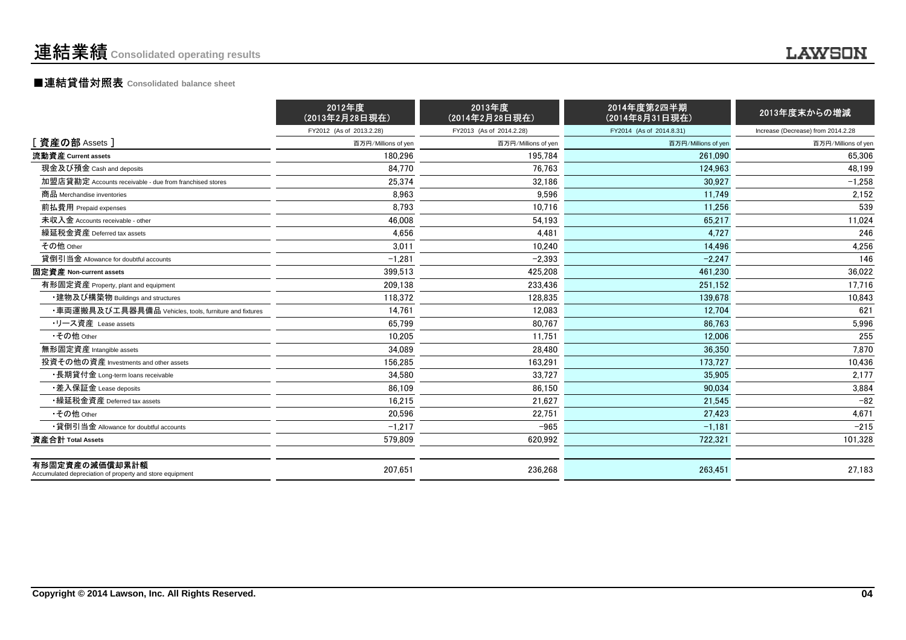## ■連結貸借対照表 **Consolidated balance sheet**

|                                                                            | 2012年度<br>(2013年2月28日現在) | 2013年度<br>(2014年2月28日現在) | 2014年度第2四半期<br>(2014年8月31日現在) | 2013年度末からの増減                       |
|----------------------------------------------------------------------------|--------------------------|--------------------------|-------------------------------|------------------------------------|
|                                                                            | FY2012 (As of 2013.2.28) | FY2013 (As of 2014.2.28) | FY2014 (As of 2014.8.31)      | Increase (Decrease) from 2014.2.28 |
| [ <b>資産の部</b> Assets]                                                      | 百万円/Millions of yen      | 百万円/Millions of yen      | 百万円/Millions of yen           | 百万円/Millions of yen                |
| 流動資産 Current assets                                                        | 180.296                  | 195,784                  | 261.090                       | 65,306                             |
| 現金及び預金 Cash and deposits                                                   | 84.770                   | 76.763                   | 124,963                       | 48.199                             |
| 加盟店貸勘定 Accounts receivable - due from franchised stores                    | 25,374                   | 32.186                   | 30.927                        | $-1.258$                           |
| 商品 Merchandise inventories                                                 | 8.963                    | 9.596                    | 11.749                        | 2,152                              |
| 前払費用 Prepaid expenses                                                      | 8,793                    | 10.716                   | 11,256                        | 539                                |
| 未収入金 Accounts receivable - other                                           | 46,008                   | 54.193                   | 65,217                        | 11,024                             |
| 繰延税金資産 Deferred tax assets                                                 | 4.656                    | 4.481                    | 4.727                         | 246                                |
| その他 Other                                                                  | 3.011                    | 10.240                   | 14.496                        | 4,256                              |
| 貸倒引当金 Allowance for doubtful accounts                                      | $-1,281$                 | $-2,393$                 | $-2,247$                      | 146                                |
| 固定資産 Non-current assets                                                    | 399.513                  | 425.208                  | 461.230                       | 36,022                             |
| 有形固定資産 Property, plant and equipment                                       | 209,138                  | 233,436                  | 251.152                       | 17,716                             |
| ・建物及び構築物 Buildings and structures                                          | 118,372                  | 128,835                  | 139,678                       | 10,843                             |
| ・車両運搬具及び工具器具備品 Vehicles, tools, furniture and fixtures                     | 14.761                   | 12,083                   | 12,704                        | 621                                |
| ・リース資産 Lease assets                                                        | 65.799                   | 80.767                   | 86.763                        | 5,996                              |
| •その他 Other                                                                 | 10.205                   | 11.751                   | 12.006                        | 255                                |
| 無形固定資産 Intangible assets                                                   | 34,089                   | 28,480                   | 36,350                        | 7,870                              |
| 投資その他の資産 Investments and other assets                                      | 156.285                  | 163,291                  | 173,727                       | 10.436                             |
| ・長期貸付金 Long-term loans receivable                                          | 34.580                   | 33.727                   | 35,905                        | 2,177                              |
| ・差入保証金 Lease deposits                                                      | 86.109                   | 86,150                   | 90.034                        | 3,884                              |
| •繰延税金資産 Deferred tax assets                                                | 16,215                   | 21.627                   | 21.545                        | $-82$                              |
| •その他 Other                                                                 | 20.596                   | 22.751                   | 27.423                        | 4.671                              |
| •貸倒引当金 Allowance for doubtful accounts                                     | $-1.217$                 | $-965$                   | $-1.181$                      | $-215$                             |
| 資産合計 Total Assets                                                          | 579,809                  | 620,992                  | 722,321                       | 101,328                            |
| 有形固定資産の減価償却累計額<br>Accumulated depreciation of property and store equipment | 207.651                  | 236,268                  | 263,451                       | 27,183                             |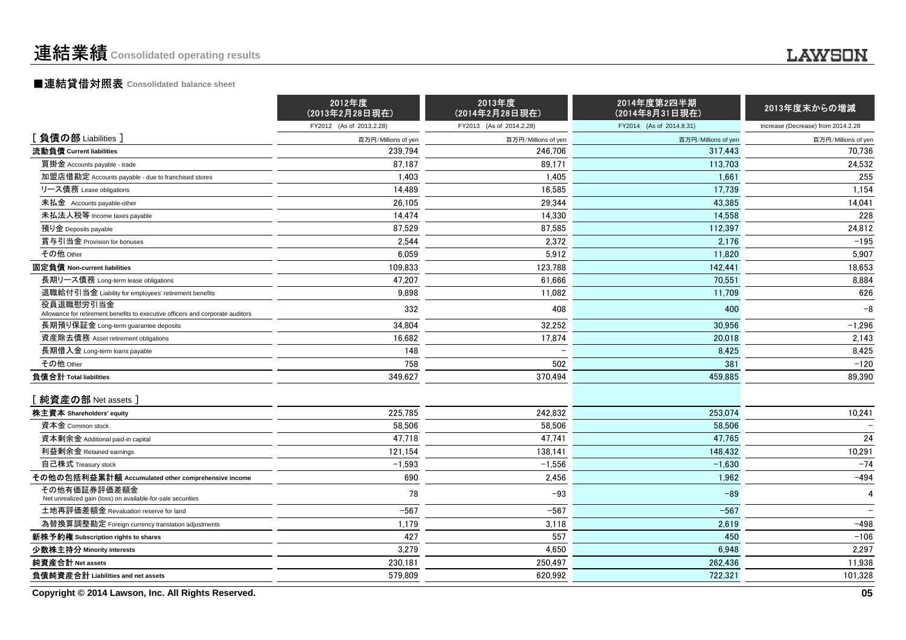## ■連結貸借対照表 **Consolidated balance sheet**

|                                                                                             | 2012年度<br>(2013年2月28日現在) | 2013年度<br>(2014年2月28日現在) | 2014年度第2四半期<br>(2014年8月31日現在) | 2013年度末からの増減                       |
|---------------------------------------------------------------------------------------------|--------------------------|--------------------------|-------------------------------|------------------------------------|
|                                                                                             | FY2012 (As of 2013.2.28) | FY2013 (As of 2014.2.28) | FY2014 (As of 2014.8.31)      | Increase (Decrease) from 2014.2.28 |
| [負債の部 Liabilities]                                                                          | 百万円/Millions of yen      | 百万円/Millions of yen      | 百万円/Millions of yen           | 百万円/Millions of yen                |
| 流動負債 Current liabilities                                                                    | 239.794                  | 246,706                  | 317.443                       | 70,736                             |
| 買掛金 Accounts payable - trade                                                                | 87,187                   | 89.171                   | 113,703                       | 24,532                             |
| 加盟店借勘定 Accounts payable - due to franchised stores                                          | 1,403                    | 1,405                    | 1.661                         | 255                                |
| リース債務 Lease obligations                                                                     | 14,489                   | 16,585                   | 17.739                        | 1,154                              |
| 未払金 Accounts payable-other                                                                  | 26,105                   | 29,344                   | 43,385                        | 14,041                             |
| 未払法人税等 Income taxes payable                                                                 | 14,474                   | 14,330                   | 14,558                        | 228                                |
| 預り金 Deposits payable                                                                        | 87,529                   | 87,585                   | 112,397                       | 24,812                             |
| 賞与引当金 Provision for bonuses                                                                 | 2,544                    | 2,372                    | 2,176                         | $-195$                             |
| その他 Other                                                                                   | 6,059                    | 5,912                    | 11,820                        | 5,907                              |
| 固定負債 Non-current liabilities                                                                | 109,833                  | 123,788                  | 142,441                       | 18,653                             |
| 長期リース債務 Long-term lease obligations                                                         | 47,207                   | 61,666                   | 70,551                        | 8,884                              |
| 退職給付引当金 Liability for employees' retirement benefits                                        | 9,898                    | 11,082                   | 11,709                        | 626                                |
| 役員退職慰労引当金<br>Allowance for retirement benefits to executive officers and corporate auditors | 332                      | 408                      | 400                           | $-8$                               |
| 長期預り保証金 Long-term guarantee deposits                                                        | 34,804                   | 32,252                   | 30,956                        | $-1,296$                           |
| 資産除去債務 Asset retirement obligations                                                         | 16,682                   | 17,874                   | 20,018                        | 2,143                              |
| 長期借入金 Long-term loans payable                                                               | 148                      |                          | 8,425                         | 8,425                              |
| その他 Other                                                                                   | 758                      | 502                      | 381                           | $-120$                             |
| 負債合計 Total liabilities                                                                      | 349,627                  | 370,494                  | 459.885                       | 89,390                             |
| [純資産の部 Net assets ]                                                                         |                          |                          |                               |                                    |
| 株主資本 Shareholders' equity                                                                   | 225,785                  | 242,832                  | 253,074                       | 10,241                             |
| 資本金 Common stock                                                                            | 58,506                   | 58,506                   | 58,506                        |                                    |
| 資本剰余金 Additional paid-in capital                                                            | 47,718                   | 47,741                   | 47,765                        | 24                                 |
| 利益剰余金 Retained earnings                                                                     | 121,154                  | 138,141                  | 148,432                       | 10,291                             |
| 自己株式 Treasury stock                                                                         | $-1,593$                 | $-1,556$                 | $-1,630$                      | $-74$                              |
| その他の包括利益累計額 Accumulated other comprehensive income                                          | 690                      | 2,456                    | 1,962                         | $-494$                             |
| その他有価証券評価差額金<br>Net unrealized gain (loss) on available-for-sale securities                 | 78                       | $-93$                    | $-89$                         | 4                                  |
| 土地再評価差額金 Revaluation reserve for land                                                       | $-567$                   | $-567$                   | $-567$                        |                                    |
| 為替換算調整勘定 Foreign currency translation adjustments                                           | 1,179                    | 3,118                    | 2,619                         | $-498$                             |
| 新株予約権 Subscription rights to shares                                                         | 427                      | 557                      | 450                           | $-106$                             |
| 少数株主持分 Minority interests                                                                   | 3,279                    | 4,650                    | 6,948                         | 2,297                              |
| 純資産合計 Net assets                                                                            | 230,181                  | 250,497                  | 262,436                       | 11,938                             |
| 負債純資産合計 Liabilities and net assets                                                          | 579.809                  | 620,992                  | 722,321                       | 101,328                            |

**Copyright © 2014 Lawson, Inc. All Rights Reserved.**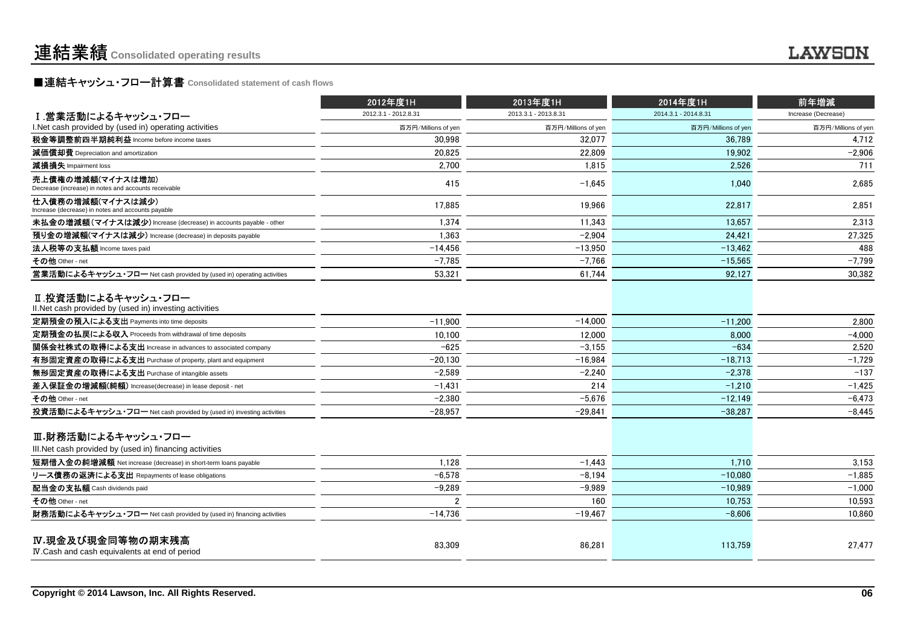## ■連結キャッシュ・フロー計算書 Consolidated statement of cash flows<br>━━

|                                                                                | 2012年度1H             | 2013年度1H             | 2014年度1H             | 前年増減                |
|--------------------------------------------------------------------------------|----------------------|----------------------|----------------------|---------------------|
| Ⅰ.営業活動によるキャッシュ・フロー                                                             | 2012.3.1 - 2012.8.31 | 2013.3.1 - 2013.8.31 | 2014.3.1 - 2014.8.31 | Increase (Decrease) |
| I. Net cash provided by (used in) operating activities                         | 百万円/Millions of yen  | 百万円/Millions of yen  | 百万円/Millions of yen  | 百万円/Millions of yen |
| 税金等調整前四半期純利益 Income before income taxes                                        | 30.998               | 32.077               | 36.789               | 4,712               |
| 減価償却費 Depreciation and amortization                                            | 20,825               | 22.809               | 19,902               | $-2,906$            |
| 減損損失 Impairment loss                                                           | 2,700                | 1,815                | 2,526                | 711                 |
| 売上債権の増減額(マイナスは増加)<br>Decrease (increase) in notes and accounts receivable      | 415                  | $-1.645$             | 1.040                | 2,685               |
| 仕入債務の増減額(マイナスは減少)<br>Increase (decrease) in notes and accounts payable         | 17.885               | 19.966               | 22,817               | 2,851               |
| 未払金の増減額(マイナスは減少) Increase (decrease) in accounts payable - other               | 1,374                | 11,343               | 13,657               | 2,313               |
| 預り金の増減額(マイナスは減少) Increase (decrease) in deposits payable                       | 1,363                | $-2.904$             | 24.421               | 27,325              |
| 法人税等の支払額 Income taxes paid                                                     | $-14.456$            | $-13.950$            | $-13.462$            | 488                 |
| その他 Other - net                                                                | $-7,785$             | $-7,766$             | $-15,565$            | $-7,799$            |
| 営業活動によるキャッシュ・フロー Net cash provided by (used in) operating activities           | 53.321               | 61.744               | 92,127               | 30.382              |
| Ⅱ.投資活動によるキャッシュ・フロー<br>II. Net cash provided by (used in) investing activities  |                      |                      |                      |                     |
| 定期預金の預入による支出 Payments into time deposits                                       | $-11.900$            | $-14,000$            | $-11,200$            | 2,800               |
| 定期預金の払戻による収入 Proceeds from withdrawal of time deposits                         | 10,100               | 12.000               | 8,000                | $-4.000$            |
| 関係会社株式の取得による支出 Increase in advances to associated company                      | $-625$               | $-3.155$             | $-634$               | 2.520               |
| 有形固定資産の取得による支出 Purchase of property, plant and equipment                       | $-20.130$            | $-16.984$            | $-18.713$            | $-1.729$            |
| 無形固定資産の取得による支出 Purchase of intangible assets                                   | $-2.589$             | $-2,240$             | $-2,378$             | $-137$              |
| 差入保証金の増減額(純額) Increase(decrease) in lease deposit - net                        | $-1,431$             | 214                  | $-1,210$             | $-1,425$            |
| その他 Other - net                                                                | $-2,380$             | $-5,676$             | $-12,149$            | $-6,473$            |
| 投資活動によるキャッシュ・フロー Net cash provided by (used in) investing activities           | $-28,957$            | $-29,841$            | $-38,287$            | $-8,445$            |
| Ⅲ.財務活動によるキャッシュ・フロー<br>III. Net cash provided by (used in) financing activities |                      |                      |                      |                     |
| 短期借入金の純増減額 Net increase (decrease) in short-term loans payable                 | 1.128                | $-1.443$             | 1,710                | 3.153               |
| リース債務の返済による支出 Repayments of lease obligations                                  | $-6.578$             | $-8.194$             | $-10.080$            | $-1,885$            |
| 配当金の支払額 Cash dividends paid                                                    | $-9,289$             | $-9,989$             | $-10,989$            | $-1,000$            |
| その他 Other - net                                                                |                      | 160                  | 10,753               | 10,593              |
| 財務活動によるキャッシュ・フロー Net cash provided by (used in) financing activities           | $-14,736$            | $-19,467$            | $-8.606$             | 10.860              |
| IV.現金及び現金同等物の期末残高<br>IV.Cash and cash equivalents at end of period             | 83,309               | 86,281               | 113,759              | 27,477              |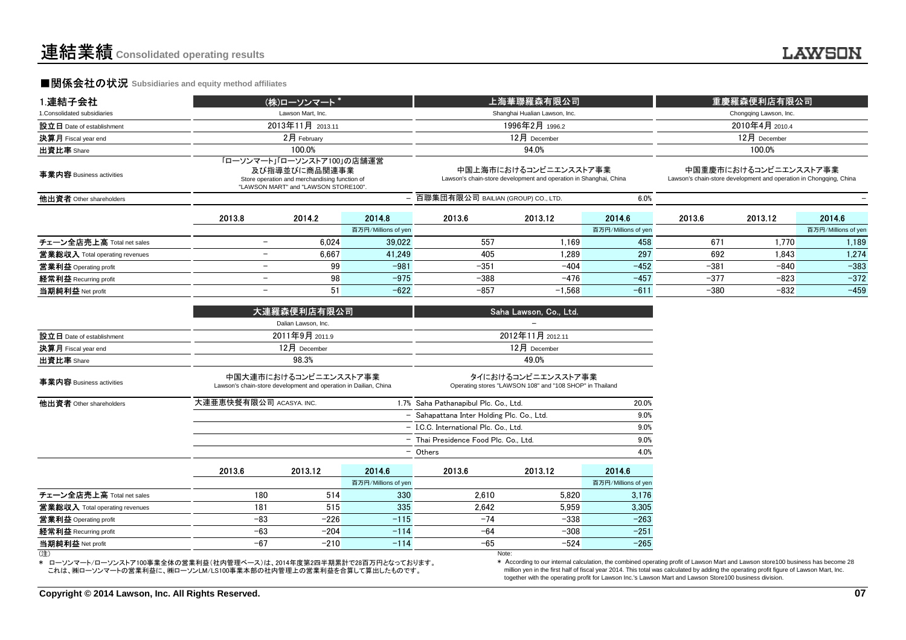### **■関係会社の状況 Subsidiaries and equity method affiliates**

| 1.連結子会社                        |                          | (株)ローソンマート*                                                                                                                         |                                              |                                                                                            | 上海華聯羅森有限公司                    |                        | 重慶羅森便利店有限公司     |                                                                                             |                     |
|--------------------------------|--------------------------|-------------------------------------------------------------------------------------------------------------------------------------|----------------------------------------------|--------------------------------------------------------------------------------------------|-------------------------------|------------------------|-----------------|---------------------------------------------------------------------------------------------|---------------------|
| 1. Consolidated subsidiaries   |                          | Lawson Mart, Inc.                                                                                                                   |                                              |                                                                                            | Shanghai Hualian Lawson, Inc. | Chongqing Lawson, Inc. |                 |                                                                                             |                     |
| 設立日 Date of establishment      |                          | 2013年11月 2013.11                                                                                                                    |                                              |                                                                                            | 1996年2月 1996.2                |                        | 2010年4月 2010.4  |                                                                                             |                     |
| 決算月 Fiscal year end            |                          | 2月 February                                                                                                                         |                                              |                                                                                            | $12月$ December                |                        | $12$ 月 December |                                                                                             |                     |
| 出資比率 Share                     |                          | 100.0%                                                                                                                              |                                              |                                                                                            | 94.0%                         |                        |                 | 100.0%                                                                                      |                     |
| 事業内容 Business activities       |                          | 「ローソンマート」「ローソンストア100」の店舗運営<br>及び指導並びに商品関連事業<br>Store operation and merchandising function of<br>"LAWSON MART" and "LAWSON STORE100" |                                              | 中国上海市におけるコンビニエンスストア事業<br>Lawson's chain-store development and operation in Shanghai, China |                               |                        |                 | 中国重慶市におけるコンビニエンスストア事業<br>Lawson's chain-store development and operation in Chongqing, China |                     |
| 他出資者 Other shareholders        |                          |                                                                                                                                     | - 百聯集団有限公司 BAILIAN (GROUP) CO., LTD.<br>6.0% |                                                                                            |                               |                        |                 |                                                                                             |                     |
|                                | 2013.8                   | 2014.2                                                                                                                              | 2014.8                                       | 2013.6                                                                                     | 2013.12                       | 2014.6                 | 2013.6          | 2013.12                                                                                     | 2014.6              |
|                                |                          |                                                                                                                                     | 百万円/Millions of yen                          |                                                                                            |                               | 百万円/Millions of yen    |                 |                                                                                             | 百万円/Millions of yen |
| チェーン全店売上高 Total net sales      | $\qquad \qquad -$        | 6,024                                                                                                                               | 39,022                                       | 557                                                                                        | 1.169                         | 458                    | 671             | 1.770                                                                                       | 1,189               |
| 営業総収入 Total operating revenues | $\overline{\phantom{a}}$ | 6,667                                                                                                                               | 41.249                                       | 405                                                                                        | 1.289                         | 297                    | 692             | 1.843                                                                                       | 1,274               |
| 営業利益 Operating profit          | $\overline{\phantom{a}}$ | 99                                                                                                                                  | $-981$                                       | $-351$                                                                                     | -404                          | $-452$                 | $-381$          | $-840$                                                                                      | $-383$              |
| 経常利益 Recurring profit          | $\overline{\phantom{a}}$ | 98                                                                                                                                  | $-975$                                       | $-388$                                                                                     | $-476$                        | $-457$                 | $-377$          | $-823$                                                                                      | $-372$              |
| 当期純利益 Net profit               | $\overline{\phantom{0}}$ | 51                                                                                                                                  | $-622$                                       | $-857$                                                                                     | $-1,568$                      | $-611$                 | $-380$          | $-832$                                                                                      | $-459$              |
|                                |                          | 大連羅森便利店有限公司                                                                                                                         |                                              |                                                                                            | Saha Lawson, Co., Ltd.        |                        |                 |                                                                                             |                     |
|                                |                          | Dalian Lawson, Inc.                                                                                                                 |                                              |                                                                                            |                               |                        |                 |                                                                                             |                     |

|                            | 大連羅森便利店有限公司         | Saha Lawson, Co., Ltd. |
|----------------------------|---------------------|------------------------|
|                            | Dalian Lawson, Inc. |                        |
| 設立日 Date of establishment  | 2011年9月 2011.9      | 2012年11月 2012.11       |
| <b>決算月</b> Fiscal year end | $12$ 月 December     | $12$ 月 December        |
| 出資比率 Share                 | 98.3%               | 49.0%                  |

| 事業内容 Business activities              |                         | 中国大連市におけるコンビニエンスストア事業<br>Lawson's chain-store development and operation in Dailian, China |                     | タイにおけるコンビニエンスストア事業<br>Operating stores "LAWSON 108" and "108 SHOP" in Thailand |              |                     |
|---------------------------------------|-------------------------|-------------------------------------------------------------------------------------------|---------------------|--------------------------------------------------------------------------------|--------------|---------------------|
| 他出資者 Other shareholders               | 大連亜恵快餐有限公司 ACASYA. INC. |                                                                                           |                     | 1.7% Saha Pathanapibul Plc. Co., Ltd.                                          | 20.0%        |                     |
|                                       |                         |                                                                                           |                     | - Sahapattana Inter Holding Plc. Co., Ltd.                                     |              | 9.0%                |
|                                       |                         |                                                                                           |                     | - I.C.C. International Plc. Co., Ltd.                                          |              | 9.0%                |
|                                       |                         |                                                                                           |                     | - Thai Presidence Food Plc. Co., Ltd.                                          | 9.0%<br>4.0% |                     |
|                                       |                         |                                                                                           |                     | - Others                                                                       |              |                     |
|                                       | 2013.6                  | 2013.12                                                                                   | 2014.6              | 2013.6                                                                         | 2013.12      | 2014.6              |
|                                       |                         |                                                                                           | 百万円/Millions of yen |                                                                                |              | 百万円/Millions of yer |
| チェーン全店売上高 Total net sales             | 180                     | 514                                                                                       | 330                 | 2.610                                                                          | 5.820        | 3.176               |
| <b>営業総収入</b> Total operating revenues | 181                     | 515                                                                                       | 335                 | 2.642                                                                          | 5.959        | 3.305               |
| 営業利益 Operating profit                 | $-83$                   | $-226$                                                                                    | $-115$              | $-74$                                                                          | $-338$       | $-263$              |
| 経常利益 Recurring profit                 | $-63$                   | $-204$                                                                                    | $-114$              | $-64$                                                                          | $-308$       | $-251$              |
| 当期純利益 Net profit                      | $-67$                   | $-210$                                                                                    | $-114$              | $-65$                                                                          | $-524$       | $-265$              |
| (注)                                   |                         |                                                                                           |                     | Note:                                                                          |              |                     |

(注)

 \* ローソンマート/ローソンストア100事業全体の営業利益(社内管理ベース)は、2014年度第2四半期累計で28百万円となっております。これは、㈱ローソンマートの営業利益に、㈱ローソンLM/LS100事業本部の社内管理上の営業利益を合算して算出したものです。

Note:

 \* According to our internal calculation, the combined operating profit of Lawson Mart and Lawson store100 business has become 28 million yen in the first half of fiscal year 2014. This total was calculated by adding the operating profit figure of Lawson Mart, Inc.together with the operating profit for Lawson Inc.'s Lawson Mart and Lawson Store100 business division.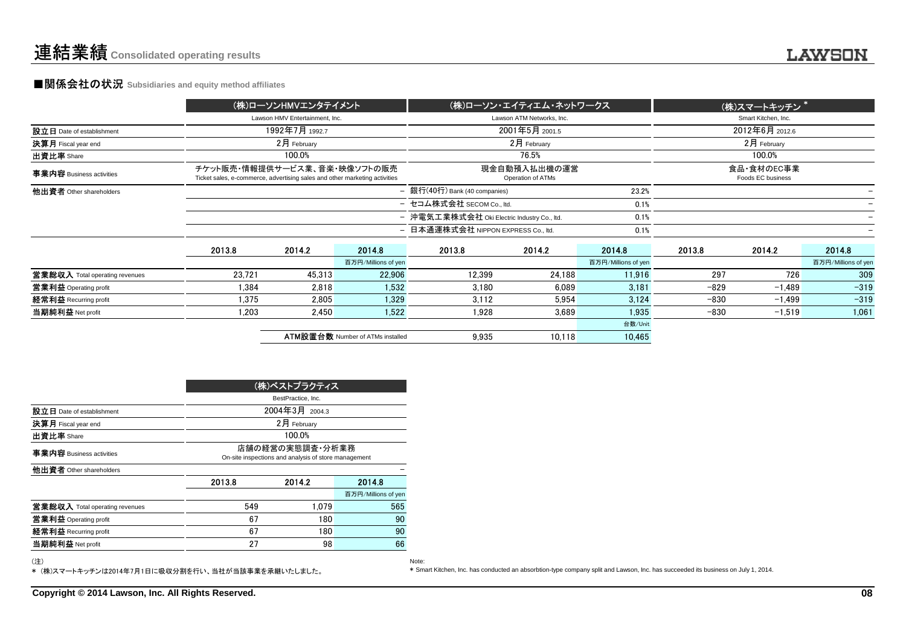### **■関係会社の状況 Subsidiaries and equity method affiliates**

|                                                                                                                                                 |                |                     |                                                      |                                         | (株)スマートキッチン <sup>*</sup>                                                                                                                                                                        |                                 |          |                     |
|-------------------------------------------------------------------------------------------------------------------------------------------------|----------------|---------------------|------------------------------------------------------|-----------------------------------------|-------------------------------------------------------------------------------------------------------------------------------------------------------------------------------------------------|---------------------------------|----------|---------------------|
|                                                                                                                                                 |                |                     |                                                      |                                         |                                                                                                                                                                                                 | Smart Kitchen, Inc.             |          |                     |
|                                                                                                                                                 | 1992年7月 1992.7 |                     |                                                      |                                         |                                                                                                                                                                                                 | 2012年6月 2012.6                  |          |                     |
|                                                                                                                                                 | 2月 February    |                     |                                                      | $2$ 月 February                          |                                                                                                                                                                                                 | $2月$ February                   |          |                     |
|                                                                                                                                                 | 100.0%         |                     |                                                      | 76.5%                                   |                                                                                                                                                                                                 |                                 | 100.0%   |                     |
| チケット販売・情報提供サービス業、音楽・映像ソフトの販売<br>現金自動預入払出機の運営<br>Ticket sales, e-commerce, advertising sales and other marketing activities<br>Operation of ATMs |                |                     |                                                      |                                         |                                                                                                                                                                                                 | 食品·食材のEC事業<br>Foods EC business |          |                     |
|                                                                                                                                                 |                |                     |                                                      |                                         | 23.2%                                                                                                                                                                                           |                                 |          |                     |
|                                                                                                                                                 |                |                     |                                                      |                                         |                                                                                                                                                                                                 |                                 |          |                     |
|                                                                                                                                                 |                |                     |                                                      |                                         | 0.1%                                                                                                                                                                                            |                                 |          |                     |
|                                                                                                                                                 |                |                     |                                                      |                                         | 0.1%                                                                                                                                                                                            |                                 |          |                     |
| 2013.8                                                                                                                                          | 2014.2         | 2014.8              | 2013.8                                               | 2014.2                                  | 2014.8                                                                                                                                                                                          | 2013.8                          | 2014.2   | 2014.8              |
|                                                                                                                                                 |                | 百万円/Millions of yen |                                                      |                                         | 百万円/Millions of yen                                                                                                                                                                             |                                 |          | 百万円/Millions of yen |
| 23.721                                                                                                                                          | 45.313         | 22.906              | 12.399                                               | 24.188                                  | 11.916                                                                                                                                                                                          | 297                             | 726      | 309                 |
| 1.384                                                                                                                                           | 2.818          | 1.532               | 3.180                                                | 6.089                                   | 3.181                                                                                                                                                                                           | -829                            | $-1.489$ | $-319$              |
| 1.375                                                                                                                                           | 2,805          | 1,329               | 3.112                                                | 5,954                                   | 3,124                                                                                                                                                                                           | $-830$                          | $-1,499$ | $-319$              |
| 1.203                                                                                                                                           | 2.450          | 1,522               | 1.928                                                | 3.689                                   | 1.935                                                                                                                                                                                           | $-830$                          | $-1,519$ | 1,061               |
|                                                                                                                                                 |                |                     |                                                      |                                         | 台数/Unit                                                                                                                                                                                         |                                 |          |                     |
|                                                                                                                                                 |                |                     | 9,935                                                | 10.118                                  | 10,465                                                                                                                                                                                          |                                 |          |                     |
|                                                                                                                                                 |                |                     | (株)ローソンHMVエンタテイメント<br>Lawson HMV Entertainment. Inc. | <b>ATM設置台数 Number of ATMs installed</b> | Lawson ATM Networks, Inc.<br>2001年5月 2001.5<br>- 銀行(40行) Bank (40 companies)<br>- セコム株式会社 SECOM Co., ltd.<br>- 沖電気工業株式会社 Oki Electric Industry Co., ltd.<br>- 日本通運株式会社 NIPPON EXPRESS Co., ltd. | (株)ローソン・エイティエム・ネットワークス<br>0.1%  |          |                     |

| (株)ベストプラクティス                   |                                                                         |        |                     |  |  |  |  |
|--------------------------------|-------------------------------------------------------------------------|--------|---------------------|--|--|--|--|
|                                | BestPractice, Inc.                                                      |        |                     |  |  |  |  |
| 設立日 Date of establishment      | 2004年3月 2004.3                                                          |        |                     |  |  |  |  |
| 決算月 Fiscal year end            | 2月 February                                                             |        |                     |  |  |  |  |
| 出資比率 Share                     | 100.0%                                                                  |        |                     |  |  |  |  |
| 事業内容 Business activities       | 店舗の経営の実熊調査・分析業務<br>On-site inspections and analysis of store management |        |                     |  |  |  |  |
| 他出資者 Other shareholders        |                                                                         |        |                     |  |  |  |  |
|                                | 2013.8                                                                  | 2014.2 | 2014.8              |  |  |  |  |
|                                |                                                                         |        | 百万円/Millions of yen |  |  |  |  |
| 営業総収入 Total operating revenues | 549                                                                     | 1.079  | 565                 |  |  |  |  |
| 営業利益 Operating profit          | 67                                                                      | 180    | 90                  |  |  |  |  |
| 経常利益 Recurring profit          | 67                                                                      | 180    | 90                  |  |  |  |  |
| 当期純利益 Net profit               | 27                                                                      | 98     | 66                  |  |  |  |  |

Note:

(注)

\* (株)スマートキッチンは2014年7月1日に吸収分割を行い、当社が当該事業を承継いたしました。

\* Smart Kitchen, Inc. has conducted an absorbtion-type company split and Lawson, Inc. has succeeded its business on July 1, 2014.

**Copyright © 2014 Lawson, Inc. All Rights Reserved.**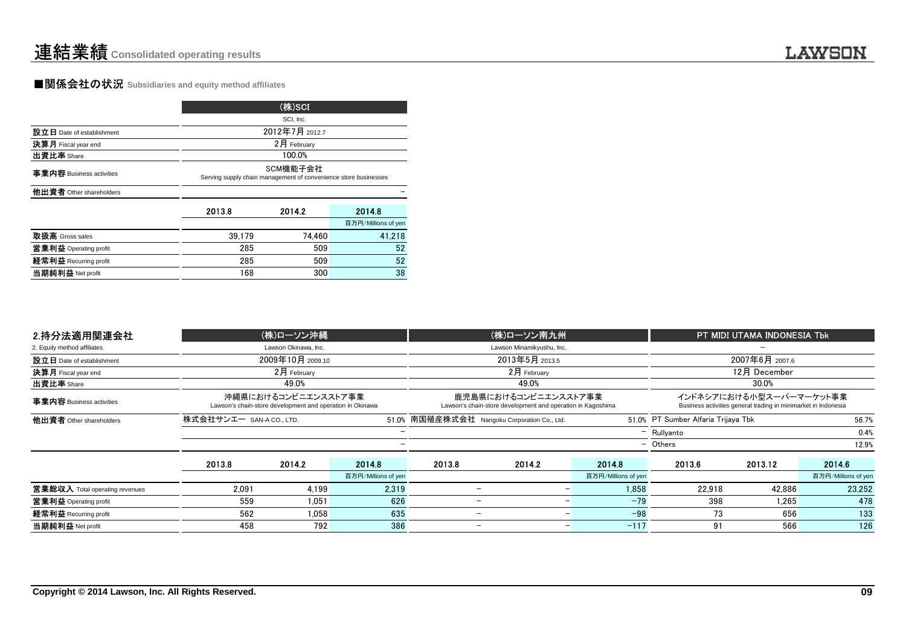### **■関係会社の状況** Subsidiaries and equity method affiliates

|                           |                                                                             | (株)SCI      |                     |  |  |  |  |  |
|---------------------------|-----------------------------------------------------------------------------|-------------|---------------------|--|--|--|--|--|
|                           |                                                                             | SCI, Inc.   |                     |  |  |  |  |  |
| 設立日 Date of establishment | 2012年7月 2012.7                                                              |             |                     |  |  |  |  |  |
| 決算月 Fiscal year end       |                                                                             | 2月 February |                     |  |  |  |  |  |
| 出資比率 Share                |                                                                             | 100.0%      |                     |  |  |  |  |  |
| 事業内容 Business activities  | SCM機能子会社<br>Serving supply chain management of convenience store businesses |             |                     |  |  |  |  |  |
| 他出資者 Other shareholders   |                                                                             |             |                     |  |  |  |  |  |
|                           | 2013.8                                                                      | 2014.2      | 2014.8              |  |  |  |  |  |
|                           |                                                                             |             | 百万円/Millions of yen |  |  |  |  |  |
| 取扱高 Gross sales           | 39.179                                                                      | 74.460      | 41.218              |  |  |  |  |  |
| 営業利益 Operating profit     | 285                                                                         | 509         | 52                  |  |  |  |  |  |
| 経常利益 Recurring profit     | 285                                                                         | 509         | 52                  |  |  |  |  |  |
| 当期純利益 Net profit          | 168                                                                         | 300         | 38                  |  |  |  |  |  |

| 2.持分法適用関連会社                                                                                         |        | (株)ローソン沖縄                                                                        |                     | (株)ローソン南九州                                                                          |                           |                     | PT MIDI UTAMA INDONESIA Tbk |                                                                                           |                     |  |
|-----------------------------------------------------------------------------------------------------|--------|----------------------------------------------------------------------------------|---------------------|-------------------------------------------------------------------------------------|---------------------------|---------------------|-----------------------------|-------------------------------------------------------------------------------------------|---------------------|--|
| 2. Equity method affiliates                                                                         |        | Lawson Okinawa, Inc.                                                             |                     |                                                                                     | Lawson Minamikyushu, Inc. |                     |                             |                                                                                           |                     |  |
| 設立日 Date of establishment                                                                           |        | 2009年10月 2009.10                                                                 |                     |                                                                                     | 2013年5月 2013.5            |                     |                             | 2007年6月 2007.6                                                                            |                     |  |
| 決算月 Fiscal year end                                                                                 |        | $2月$ February                                                                    |                     |                                                                                     | $2月$ February             |                     | 12月 December                |                                                                                           |                     |  |
| 出資比率 Share                                                                                          |        | 49.0%                                                                            |                     |                                                                                     | 49.0%                     |                     |                             | 30.0%                                                                                     |                     |  |
| 事業内容 Business activities                                                                            |        | 沖縄県におけるコンビニエンスストア事業<br>Lawson's chain-store development and operation in Okinawa |                     | 鹿児島県におけるコンビニエンスストア事業<br>Lawson's chain-store development and operation in Kagoshima |                           |                     |                             | インドネシアにおける小型スーパーマーケット事業<br>Business activities general trading in minimarket in Indonesia |                     |  |
| 株式会社サンエー SAN-A CO., LTD.<br>他出資者 Other shareholders<br>51.0% 南国殖産株式会社 Nangoku Corporation Co., Ltd. |        |                                                                                  |                     | 51.0% PT Sumber Alfaria Trijaya Tbk                                                 |                           | 56.7%               |                             |                                                                                           |                     |  |
|                                                                                                     |        |                                                                                  |                     |                                                                                     |                           |                     | $-$ Rullyanto               |                                                                                           | 0.4%                |  |
|                                                                                                     |        |                                                                                  |                     |                                                                                     |                           |                     | - Others                    |                                                                                           | 12.9%               |  |
|                                                                                                     | 2013.8 | 2014.2                                                                           | 2014.8              | 2013.8                                                                              | 2014.2                    | 2014.8              | 2013.6                      | 2013.12                                                                                   | 2014.6              |  |
|                                                                                                     |        |                                                                                  | 百万円/Millions of yen |                                                                                     |                           | 百万円/Millions of yen |                             |                                                                                           | 百万円/Millions of yen |  |
| 営業総収入 Total operating revenues                                                                      | 2,091  | 4.199                                                                            | 2,319               |                                                                                     |                           | 1.858               | 22,918                      | 42.886                                                                                    | 23.252              |  |
| 営業利益 Operating profit                                                                               | 559    | 1.051                                                                            | 626                 |                                                                                     |                           | $-79$               | 398                         | 1.265                                                                                     | 478                 |  |
| 経常利益 Recurring profit                                                                               | 562    | 1.058                                                                            | 635                 | -                                                                                   |                           | $-98$               | 73                          | 656                                                                                       | 133                 |  |
| 当期純利益 Net profit                                                                                    | 458    | 792                                                                              | 386                 | -                                                                                   |                           | $-117$<br>-         | 91                          | 566                                                                                       | 126                 |  |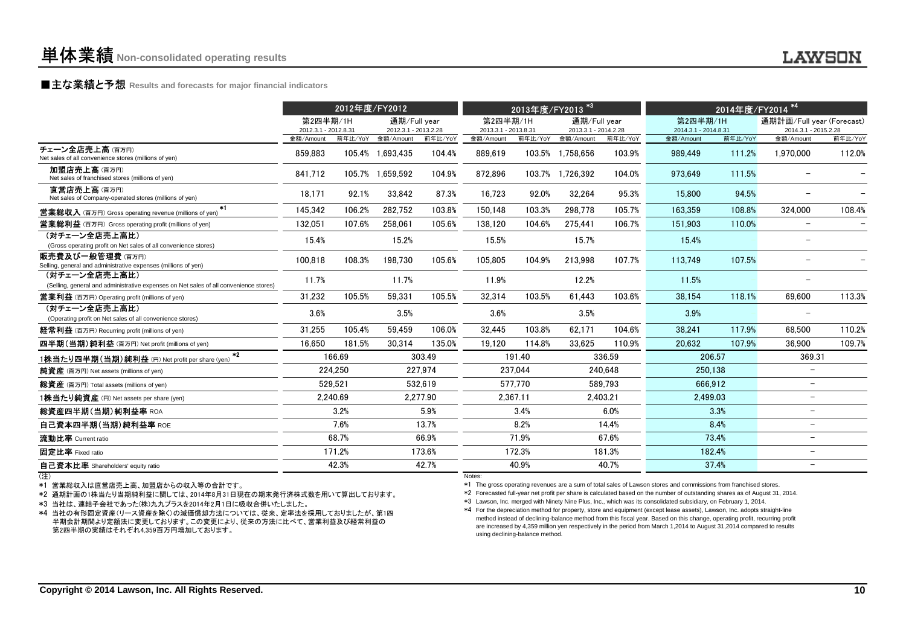# **■主な業績と予想** Results and forecasts for major financial indicators<br>
————————————————————

|                                                                                                        | 2012年度/FY2012                     |          |                                   |          | 2013年度/FY2013                     | $*3$     |                                   | 2014年度/FY2014 <sup>*4</sup> |                                   |         |                                   |         |
|--------------------------------------------------------------------------------------------------------|-----------------------------------|----------|-----------------------------------|----------|-----------------------------------|----------|-----------------------------------|-----------------------------|-----------------------------------|---------|-----------------------------------|---------|
|                                                                                                        | 第2四半期/1H                          |          | 通期/Full year                      |          | 第2四半期/1H                          |          | 通期/Full year                      |                             | 第2四半期/1H                          |         | 通期計画/Full year (Forecast)         |         |
|                                                                                                        | 2012.3.1 - 2012.8.31<br>金額/Amount | 前年比/YoY  | 2012.3.1 - 2013.2.28<br>金額/Amount | 前年比/YoY  | 2013.3.1 - 2013.8.31<br>金額/Amount | 前年比/YoY  | 2013.3.1 - 2014.2.28<br>金額/Amount | 前年比/YoY                     | 2014.3.1 - 2014.8.31<br>金額/Amount | 前年比/YoY | 2014.3.1 - 2015.2.28<br>金額/Amount | 前年比/YoY |
| チェーン全店売上高(百万円)<br>Net sales of all convenience stores (millions of yen)                                | 859.883                           |          | 105.4% 1.693.435                  | 104.4%   | 889.619                           |          | 103.5% 1.758.656                  | 103.9%                      | 989.449                           | 111.2%  | 1.970.000                         | 112.0%  |
| 加盟店売上高(百万円)<br>Net sales of franchised stores (millions of yen)                                        | 841.712                           |          | 105.7% 1.659.592                  | 104.9%   | 872.896                           |          | 103.7% 1.726.392                  | 104.0%                      | 973.649                           | 111.5%  |                                   |         |
| 直営店売上高(百万円)<br>Net sales of Company-operated stores (millions of yen)                                  | 18.171                            | 92.1%    | 33,842                            | 87.3%    | 16,723                            | 92.0%    | 32,264                            | 95.3%                       | 15,800                            | 94.5%   |                                   |         |
| $*1$<br><b>営業総収入</b> (百万円) Gross operating revenue (millions of yen)                                   | 145.342                           | 106.2%   | 282.752                           | 103.8%   | 150.148                           | 103.3%   | 298.778                           | 105.7%                      | 163.359                           | 108.8%  | 324.000                           | 108.4%  |
| <b>営業総利益</b> (百万円) Gross operating profit (millions of yen)                                            | 132,051                           | 107.6%   | 258.061                           | 105.6%   | 138.120                           | 104.6%   | 275.441                           | 106.7%                      | 151.903                           | 110.0%  | $\overline{\phantom{a}}$          |         |
| (対チェーン全店売上高比)<br>(Gross operating profit on Net sales of all convenience stores)                       | 15.4%                             |          | 15.2%                             |          | 15.5%                             |          | 15.7%                             |                             | 15.4%                             |         |                                   |         |
| 販売費及び一般管理費(百万円)<br>Selling, general and administrative expenses (millions of yen)                      | 100,818                           | 108.3%   | 198,730                           | 105.6%   | 105,805                           | 104.9%   | 213,998                           | 107.7%                      | 113,749                           | 107.5%  |                                   |         |
| (対チェーン全店売上高比)<br>(Selling, general and administrative expenses on Net sales of all convenience stores) | 11.7%                             |          | 11.7%                             |          | 11.9%                             |          | 12.2%                             |                             | 11.5%                             |         | $\overline{\phantom{0}}$          |         |
| <b>営業利益</b> (百万円) Operating profit (millions of yen)                                                   | 31.232                            | 105.5%   | 59,331                            | 105.5%   | 32,314                            | 103.5%   | 61.443                            | 103.6%                      | 38,154                            | 118.1%  | 69,600                            | 113.3%  |
| (対チェーン全店売上高比)<br>(Operating profit on Net sales of all convenience stores)                             | 3.6%                              |          | 3.5%                              |          | 3.6%                              |          | 3.5%                              |                             | 3.9%                              |         |                                   |         |
| 経常利益 (百万円) Recurring profit (millions of yen)                                                          | 31.255                            | 105.4%   | 59.459                            | 106.0%   | 32.445                            | 103.8%   | 62.171                            | 104.6%                      | 38.241                            | 117.9%  | 68.500                            | 110.2%  |
| 四半期(当期)純利益 (百万円) Net profit (millions of yen)                                                          | 16.650                            | 181.5%   | 30.314                            | 135.0%   | 19.120                            | 114.8%   | 33.625                            | 110.9%                      | 20.632                            | 107.9%  | 36.900                            | 109.7%  |
| $*2$<br>1株当たり四半期(当期)純利益 (円) Net profit per share (yen)                                                 |                                   | 166.69   |                                   | 303.49   |                                   | 191.40   |                                   | 336.59                      |                                   | 206.57  | 369.31                            |         |
| 純資産 (百万円) Net assets (millions of yen)                                                                 |                                   | 224,250  |                                   | 227.974  |                                   | 237.044  |                                   | 240.648                     | 250,138                           |         | $\overline{\phantom{m}}$          |         |
| 総資産 (百万円) Total assets (millions of yen)                                                               |                                   | 529.521  |                                   | 532.619  |                                   | 577.770  |                                   | 589.793                     | 666.912                           |         | $\overline{\phantom{0}}$          |         |
| 1株当たり純資産 (円) Net assets per share (yen)                                                                |                                   | 2,240.69 |                                   | 2,277.90 |                                   | 2,367.11 |                                   | 2,403.21                    | 2,499.03                          |         | -                                 |         |
| 総資産四半期(当期)純利益率 ROA                                                                                     |                                   | 3.2%     |                                   | 5.9%     |                                   | 3.4%     |                                   | 6.0%                        |                                   | 3.3%    | -                                 |         |
| 自己資本四半期(当期)純利益率 ROE                                                                                    |                                   | 7.6%     |                                   | 13.7%    |                                   | 8.2%     |                                   | 14.4%                       |                                   | 8.4%    | $\overline{\phantom{0}}$          |         |
| 流動比率 Current ratio                                                                                     |                                   | 68.7%    |                                   | 66.9%    |                                   | 71.9%    |                                   | 67.6%                       |                                   | 73.4%   | -                                 |         |
| 固定比率 Fixed ratio                                                                                       |                                   | 171.2%   |                                   | 173.6%   |                                   | 172.3%   |                                   | 181.3%                      |                                   | 182.4%  | $\overline{\phantom{0}}$          |         |
| 自己資本比率 Shareholders' equity ratio                                                                      |                                   | 42.3%    |                                   | 42.7%    |                                   | 40.9%    |                                   | 40.7%                       |                                   | 37.4%   | $\overline{\phantom{0}}$          |         |
| (注)                                                                                                    |                                   |          |                                   |          | Notes:                            |          |                                   |                             |                                   |         |                                   |         |

(注)

\*1 営業総収入は直営店売上高、加盟店からの収入等の合計です。

\*2 通期計画の1株当たり当期純利益に関しては、2014年8月31日現在の期末発行済株式数を用いて算出しております。

\*3 当社は、連結子会社であった(株)九九プラスを2014年2月1日に吸収合併いたしました。

 \*4 当社の有形固定資産(リース資産を除く)の減価償却方法については、従来、定率法を採用しておりましたが、第1四 半期会計期間より定額法に変更しております。この変更により、従来の方法に比べて、営業利益及び経常利益の第2四半期の実績はそれぞれ4,359百万円増加しております。

#### Notes:

\*1 The gross operating revenues are a sum of total sales of Lawson stores and commissions from franchised stores.

\*2 Forecasted full-year net profit per share is calculated based on the number of outstanding shares as of August 31, 2014.

\*3 Lawson, Inc. merged with Ninety Nine Plus, Inc., which was its consolidated subsidiary, on February 1, 2014.

 \*4 For the depreciation method for property, store and equipment (except lease assets), Lawson, Inc. adopts straight-line method instead of declining-balance method from this fiscal year. Based on this change, operating profit, recurring profit are increased by 4,359 million yen respectively in the period from March 1,2014 to August 31,2014 compared to resultsusing declining-balance method.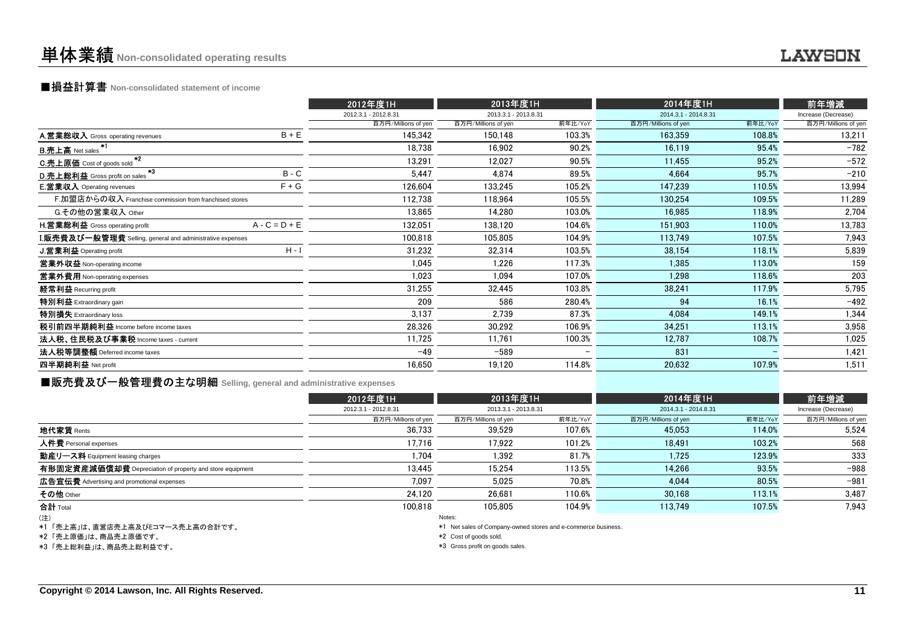## ■損益計算書 **Non-consolidated statement of income**

|                                                                    |                 | 2012年度1H             | 2013年度1H             |         | 2014年度1H             |         | 前年増減                |  |
|--------------------------------------------------------------------|-----------------|----------------------|----------------------|---------|----------------------|---------|---------------------|--|
|                                                                    |                 | 2012.3.1 - 2012.8.31 | 2013.3.1 - 2013.8.31 |         | 2014.3.1 - 2014.8.31 |         | Increase (Decrease) |  |
|                                                                    |                 | 百万円/Millions of yen  | 百万円/Millions of yen  | 前年比/YoY | 百万円/Millions of yen  | 前年比/YoY | 百万円/Millions of yen |  |
| A.営業総収入 Gross operating revenues                                   | $B + E$         | 145.342              | 150.148              | 103.3%  | 163.359              | 108.8%  | 13,211              |  |
| *1<br><b>B.売上高</b> Net sales                                       |                 | 18,738               | 16.902               | 90.2%   | 16.119               | 95.4%   | $-782$              |  |
| $*2$<br>C.売上原価 Cost of goods sold                                  |                 | 13,291               | 12.027               | 90.5%   | 11.455               | 95.2%   | $-572$              |  |
| - 43<br>D.売上総利益 Gross profit on sales                              | $B - C$         | 5,447                | 4,874                | 89.5%   | 4,664                | 95.7%   | $-210$              |  |
| <b>E.営業収入</b> Operating revenues                                   | $F + G$         | 126,604              | 133,245              | 105.2%  | 147,239              | 110.5%  | 13,994              |  |
| F.加盟店からの収入 Franchise commission from franchised stores             |                 | 112,738              | 118,964              | 105.5%  | 130,254              | 109.5%  | 11,289              |  |
| G.その他の営業収入 Other                                                   |                 | 13,865               | 14.280               | 103.0%  | 16,985               | 118.9%  | 2,704               |  |
| H.営業総利益 Gross operating profit                                     | $A - C = D + E$ | 132.051              | 138.120              | 104.6%  | 151.903              | 110.0%  | 13,783              |  |
| ${\bf I}.$ 販売費及び一般管理費 Selling, general and administrative expenses |                 | 100,818              | 105,805              | 104.9%  | 113,749              | 107.5%  | 7,943               |  |
| <b>J.営業利益 Operating profit</b>                                     | $H - I$         | 31,232               | 32,314               | 103.5%  | 38,154               | 118.1%  | 5,839               |  |
| 営業外収益 Non-operating income                                         |                 | 1,045                | 1,226                | 117.3%  | 1,385                | 113.0%  | 159                 |  |
| 営業外費用 Non-operating expenses                                       |                 | 1,023                | 1.094                | 107.0%  | 1.298                | 118.6%  | 203                 |  |
| 経常利益 Recurring profit                                              |                 | 31,255               | 32,445               | 103.8%  | 38,241               | 117.9%  | 5,795               |  |
| 特別利益 Extraordinary gain                                            |                 | 209                  | 586                  | 280.4%  | 94                   | 16.1%   | $-492$              |  |
| 特別損失 Extraordinary loss                                            |                 | 3,137                | 2,739                | 87.3%   | 4,084                | 149.1%  | 1,344               |  |
| 税引前四半期純利益 Income before income taxes                               |                 | 28,326               | 30,292               | 106.9%  | 34,251               | 113.1%  | 3,958               |  |
| 法人税、住民税及び事業税 Income taxes - current                                |                 | 11,725               | 11,761               | 100.3%  | 12,787               | 108.7%  | 1,025               |  |
| 法人税等調整額 Deferred income taxes                                      |                 | $-49$                | $-589$               |         | 831                  |         | 1,421               |  |
| 四半期純利益 Net profit                                                  |                 | 16,650               | 19,120               | 114.8%  | 20,632               | 107.9%  | 1,511               |  |
|                                                                    |                 |                      |                      |         |                      |         |                     |  |

■販売費及び一般管理費の主な明細 **Selling, general and administrative expenses**

|                                                          | 2012年度1H             | 2013年度1H             |         | 2014年度1H             |         | 前年増減                |  |
|----------------------------------------------------------|----------------------|----------------------|---------|----------------------|---------|---------------------|--|
|                                                          | 2012.3.1 - 2012.8.31 | 2013.3.1 - 2013.8.31 |         | 2014.3.1 - 2014.8.31 |         | Increase (Decrease) |  |
|                                                          | 百万円/Millions of yen  | 百万円/Millions of yen  | 前年比/YoY | 百万円/Millions of yen  | 前年比/YoY | 百万円/Millions of yen |  |
| <b>地代家賃</b> Rents                                        | 36,733               | 39,529               | 107.6%  | 45,053               | 114.0%  | 5,524               |  |
| 人件費 Personal expenses                                    | 17,716               | 17.922               | 101.2%  | 18,491               | 103.2%  | 568                 |  |
| 動産リース料 Equipment leasing charges                         | 1,704                | 1.392                | 81.7%   | 1.725                | 123.9%  | 333                 |  |
| 有形固定資産減価償却費 Depreciation of property and store equipment | 13,445               | 15.254               | 113.5%  | 14.266               | 93.5%   | $-988$              |  |
| <b>広告宣伝費</b> Advertising and promotional expenses        | 7.097                | 5.025                | 70.8%   | 4.044                | 80.5%   | $-981$              |  |
| その他 Other                                                | 24.120               | 26.681               | 110.6%  | 30.168               | 113.1%  | 3,487               |  |
| 合計 Total                                                 | 100.818              | 105.805              | 104.9%  | 113.749              | 107.5%  | 7,943               |  |
| (注)                                                      |                      | Notes:               |         |                      |         |                     |  |

(注)

\*1 「売上高」は、直営店売上高及びEコマース売上高の合計です。

\*2 「売上原価」は、商品売上原価です。

\*3 「売上総利益」は、商品売上総利益です。

Notes:

\*1 Net sales of Company-owned stores and e-commerce business.

\*2 Cost of goods sold.

\*3 Gross profit on goods sales.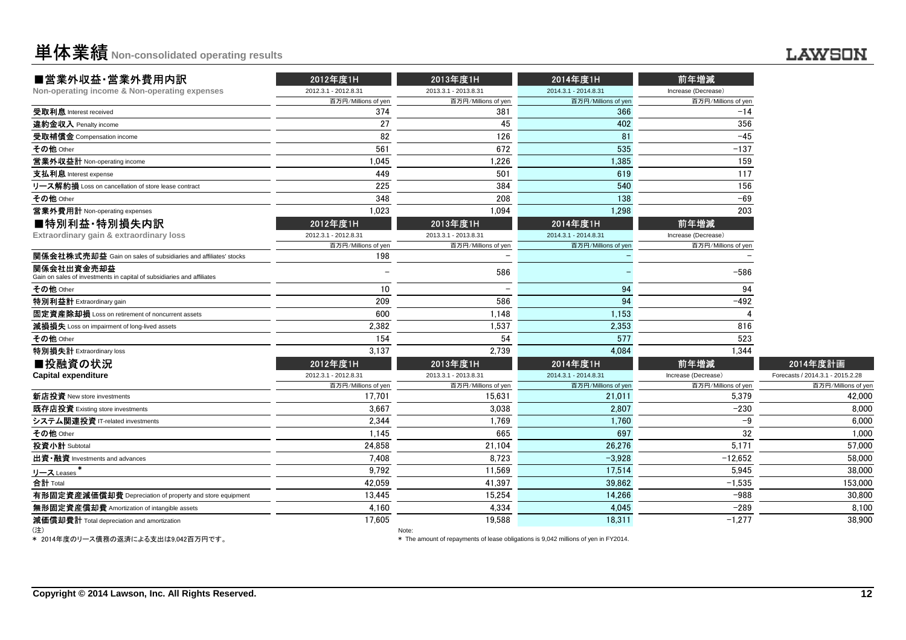| <b>単体業績</b> Non-consolidated operating results |  |
|------------------------------------------------|--|
|------------------------------------------------|--|

| ■営業外収益·営業外費用内訳                                                                       | 2012年度1H             | 2013年度1H             | 2014年度1H             | 前年増減                |                                  |
|--------------------------------------------------------------------------------------|----------------------|----------------------|----------------------|---------------------|----------------------------------|
| Non-operating income & Non-operating expenses                                        | 2012.3.1 - 2012.8.31 | 2013.3.1 - 2013.8.31 | 2014.3.1 - 2014.8.31 | Increase (Decrease) |                                  |
|                                                                                      | 百万円/Millions of yen  | 百万円/Millions of yen  | 百万円/Millions of yen  | 百万円/Millions of yen |                                  |
| 受取利息 Interest received                                                               | 374                  | 381                  | 366                  | $-14$               |                                  |
| 違約金収入 Penalty income                                                                 | 27                   | 45                   | 402                  | 356                 |                                  |
| 受取補償金 Compensation income                                                            | 82                   | 126                  | 81                   | $-45$               |                                  |
| その他 Other                                                                            | 561                  | 672                  | 535                  | $-137$              |                                  |
| 営業外収益計 Non-operating income                                                          | 1.045                | 1,226                | 1,385                | 159                 |                                  |
| 支払利息 Interest expense                                                                | 449                  | 501                  | 619                  | 117                 |                                  |
| リース解約損 Loss on cancellation of store lease contract                                  | 225                  | 384                  | 540                  | 156                 |                                  |
| その他 Other                                                                            | 348                  | 208                  | 138                  | $-69$               |                                  |
| 営業外費用計 Non-operating expenses                                                        | 1.023                | 1.094                | 1,298                | 203                 |                                  |
| ■特別利益·特別損失内訳                                                                         | 2012年度1H             | 2013年度1H             | 2014年度1H             | 前年増減                |                                  |
| Extraordinary gain & extraordinary loss                                              | 2012.3.1 - 2012.8.31 | 2013.3.1 - 2013.8.31 | 2014.3.1 - 2014.8.31 | Increase (Decrease) |                                  |
|                                                                                      | 百万円/Millions of yen  | 百万円/Millions of yen  | 百万円/Millions of yen  | 百万円/Millions of yen |                                  |
| 関係会社株式売却益 Gain on sales of subsidiaries and affiliates' stocks                       | 198                  |                      |                      |                     |                                  |
| 関係会社出資金売却益<br>Gain on sales of investments in capital of subsidiaries and affiliates |                      | 586                  |                      | $-586$              |                                  |
| その他 Other                                                                            | 10                   |                      | 94                   | 94                  |                                  |
| 特別利益計 Extraordinary gain                                                             | 209                  | 586                  | 94                   | $-492$              |                                  |
| 固定資産除却損 Loss on retirement of noncurrent assets                                      | 600                  | 1,148                | 1,153                |                     |                                  |
| 減損損失 Loss on impairment of long-lived assets                                         | 2.382                | 1.537                | 2,353                | 816                 |                                  |
| その他 Other                                                                            | 154                  | 54                   | 577                  | 523                 |                                  |
| 特別損失計 Extraordinary loss                                                             | 3,137                | 2.739                | 4.084                | 1,344               |                                  |
| ■投融資の状況                                                                              | 2012年度1H             | 2013年度1H             | 2014年度1H             | 前年増減                | 2014年度計画                         |
| <b>Capital expenditure</b>                                                           | 2012.3.1 - 2012.8.31 | 2013.3.1 - 2013.8.31 | 2014.3.1 - 2014.8.31 | Increase (Decrease) | Forecasts / 2014.3.1 - 2015.2.28 |
|                                                                                      | 百万円/Millions of yer  | 百万円/Millions of yen  | 百万円/Millions of yen  | 百万円/Millions of yen | 百万円/Millions of yer              |
| 新店投資 New store investments                                                           | 17,701               | 15.631               | 21,011               | 5.379               | 42.000                           |
| 既存店投資 Existing store investments                                                     | 3,667                | 3.038                | 2.807                | $-230$              | 8.000                            |
| システム関連投資 IT-related investments                                                      | 2,344                | 1,769                | 1,760                | $-9$                | 6.000                            |
| その他 Other                                                                            | 1,145                | 665                  | 697                  | 32                  | 1.000                            |
| 投資小計 Subtotal                                                                        | 24,858               | 21,104               | 26,276               | 5.171               | 57,000                           |
| 出資·融資 Investments and advances                                                       | 7.408                | 8.723                | $-3,928$             | $-12,652$           | 58,000                           |
| リース Leases                                                                           | 9,792                | 11,569               | 17,514               | 5,945               | 38,000                           |
| 合計 Total                                                                             | 42,059               | 41,397               | 39,862               | $-1,535$            | 153,000                          |
| 有形固定資産減価償却費 Depreciation of property and store equipment                             | 13,445               | 15,254               | 14,266               | $-988$              | 30.800                           |
| 無形固定資産償却費 Amortization of intangible assets                                          | 4,160                | 4,334                | 4,045                | $-289$              | 8.100                            |
| 減価償却費計 Total depreciation and amortization                                           | 17.605               | 19.588               | 18.311               | $-1.277$            | 38,900                           |
| (注)                                                                                  |                      | Note:                |                      |                     |                                  |

(注)

Note:

\* 2014年度のリース債務の返済による支出は9,042百万円です。

\* The amount of repayments of lease obligations is 9,042 millions of yen in FY2014.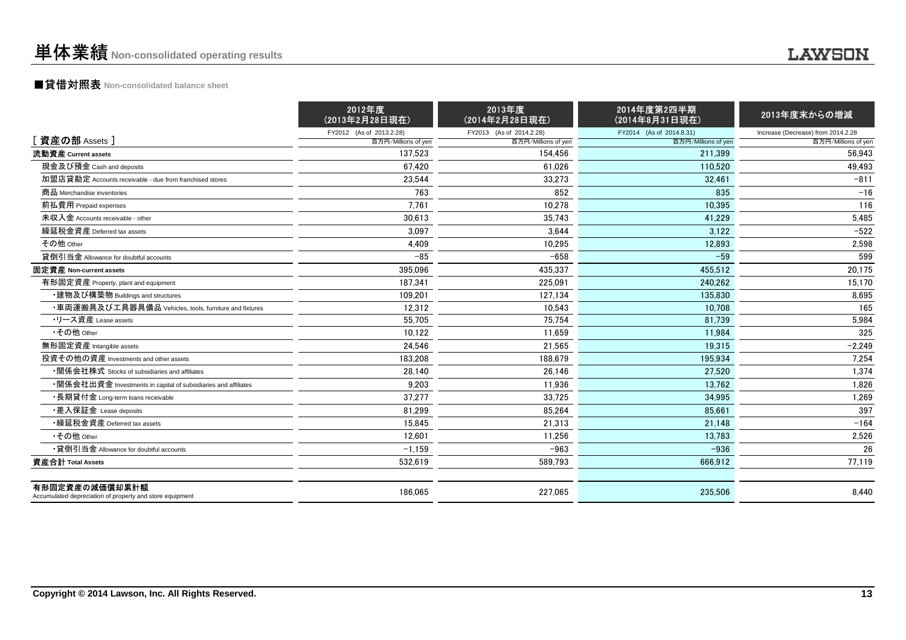## **LAWSON**

## ■貸借対照表 **Non-consolidated balance sheet**

|                                                                            | 2012年度<br>(2013年2月28日現在) | 2013年度<br>(2014年2月28日現在) | 2014年度第2四半期<br>(2014年8月31日現在) | 2013年度末からの増減                       |
|----------------------------------------------------------------------------|--------------------------|--------------------------|-------------------------------|------------------------------------|
|                                                                            | FY2012 (As of 2013.2.28) | FY2013 (As of 2014.2.28) | FY2014 (As of 2014.8.31)      | Increase (Decrease) from 2014.2.28 |
| [ 資産の部 Assets ]                                                            | 百万円/Millions of yen      | 百万円/Millions of yen      | 百万円/Millions of yen           | 百万円/Millions of yen                |
| 流動資産 Current assets                                                        | 137.523                  | 154.456                  | 211.399                       | 56,943                             |
| 現金及び預金 Cash and deposits                                                   | 67.420                   | 61.026                   | 110.520                       | 49.493                             |
| 加盟店貸勘定 Accounts receivable - due from franchised stores                    | 23,544                   | 33,273                   | 32,461                        | $-811$                             |
| 商品 Merchandise inventories                                                 | 763                      | 852                      | 835                           | $-16$                              |
| 前払費用 Prepaid expenses                                                      | 7.761                    | 10.278                   | 10.395                        | 116                                |
| 未収入金 Accounts receivable - other                                           | 30,613                   | 35,743                   | 41,229                        | 5,485                              |
| 繰延税金資産 Deferred tax assets                                                 | 3,097                    | 3.644                    | 3.122                         | $-522$                             |
| その他 Other                                                                  | 4,409                    | 10,295                   | 12,893                        | 2,598                              |
| 貸倒引当金 Allowance for doubtful accounts                                      | $-85$                    | $-658$                   | $-59$                         | 599                                |
| 固定資産 Non-current assets                                                    | 395,096                  | 435,337                  | 455.512                       | 20,175                             |
| 有形固定資産 Property, plant and equipment                                       | 187.341                  | 225,091                  | 240.262                       | 15,170                             |
| ・建物及び構築物 Buildings and structures                                          | 109.201                  | 127,134                  | 135.830                       | 8,695                              |
| ・車両運搬具及び工具器具備品 Vehicles, tools, furniture and fixtures                     | 12,312                   | 10,543                   | 10.708                        | 165                                |
| •リース資産 Lease assets                                                        | 55.705                   | 75,754                   | 81.739                        | 5,984                              |
| •その他 Other                                                                 | 10.122                   | 11,659                   | 11.984                        | 325                                |
| 無形固定資産 Intangible assets                                                   | 24.546                   | 21.565                   | 19.315                        | $-2.249$                           |
| 投資その他の資産 Investments and other assets                                      | 183,208                  | 188,679                  | 195,934                       | 7,254                              |
| ・関係会社株式 Stocks of subsidiaries and affiliates                              | 28,140                   | 26,146                   | 27.520                        | 1,374                              |
| •関係会社出資金 Investments in capital of subsidiaries and affiliates             | 9.203                    | 11.936                   | 13.762                        | 1,826                              |
| •長期貸付金 Long-term loans receivable                                          | 37,277                   | 33,725                   | 34.995                        | 1,269                              |
| ・差入保証金 Lease deposits                                                      | 81,299                   | 85,264                   | 85,661                        | 397                                |
| •繰延税金資産 Deferred tax assets                                                | 15,845                   | 21,313                   | 21.148                        | $-164$                             |
| •その他 Other                                                                 | 12,601                   | 11,256                   | 13,783                        | 2,526                              |
| •貸倒引当金 Allowance for doubtful accounts                                     | $-1,159$                 | $-963$                   | $-936$                        | 26                                 |
| 資産合計 Total Assets                                                          | 532,619                  | 589.793                  | 666.912                       | 77.119                             |
| 有形固定資産の減価償却累計額<br>Accumulated depreciation of property and store equipment | 186,065                  | 227,065                  | 235,506                       | 8,440                              |
|                                                                            |                          |                          |                               |                                    |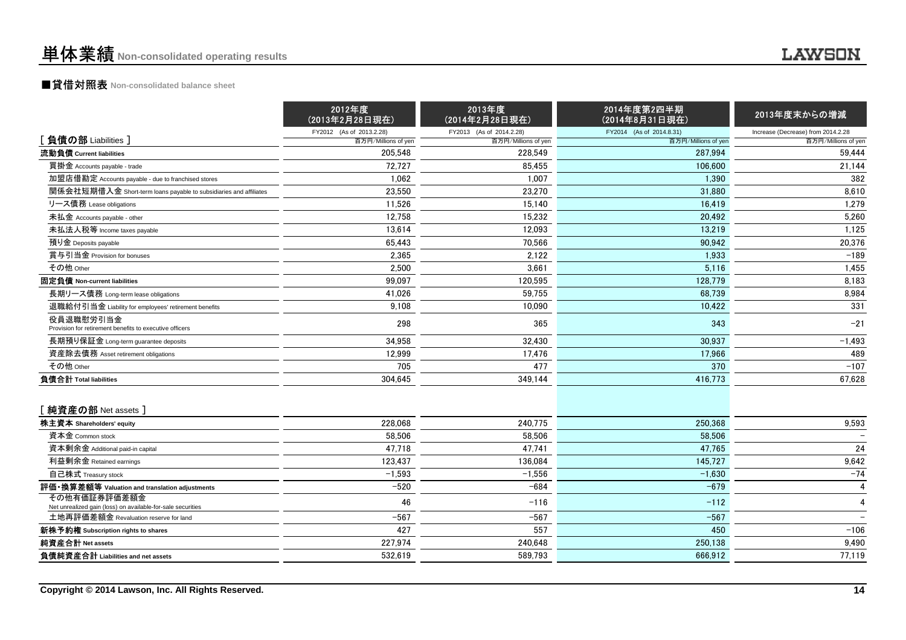## ■貸借対照表 **Non-consolidated balance sheet**

|                                                                             | 2012年度<br>(2013年2月28日現在) | 2013年度<br>(2014年2月28日現在) | 2014年度第2四半期<br>(2014年8月31日現在) | 2013年度末からの増減                       |
|-----------------------------------------------------------------------------|--------------------------|--------------------------|-------------------------------|------------------------------------|
|                                                                             | FY2012 (As of 2013.2.28) | FY2013 (As of 2014.2.28) | FY2014 (As of 2014.8.31)      | Increase (Decrease) from 2014.2.28 |
| [負債の部 Liabilities]                                                          | 百万円/Millions of yen      | 百万円/Millions of yen      | 百万円/Millions of yen           | 百万円/Millions of yen                |
| 流動負債 Current liabilities                                                    | 205.548                  | 228.549                  | 287.994                       | 59,444                             |
| 買掛金 Accounts payable - trade                                                | 72,727                   | 85,455                   | 106,600                       | 21,144                             |
| 加盟店借勘定 Accounts payable - due to franchised stores                          | 1,062                    | 1,007                    | 1.390                         | 382                                |
| 関係会社短期借入金 Short-term loans payable to subsidiaries and affiliates           | 23,550                   | 23,270                   | 31.880                        | 8,610                              |
| リース債務 Lease obligations                                                     | 11,526                   | 15,140                   | 16,419                        | 1,279                              |
| 未払金 Accounts payable - other                                                | 12,758                   | 15.232                   | 20.492                        | 5.260                              |
| 未払法人税等 Income taxes payable                                                 | 13.614                   | 12.093                   | 13.219                        | 1,125                              |
| 預り金 Deposits payable                                                        | 65,443                   | 70,566                   | 90.942                        | 20,376                             |
| 賞与引当金 Provision for bonuses                                                 | 2,365                    | 2,122                    | 1,933                         | $-189$                             |
| その他 Other                                                                   | 2,500                    | 3,661                    | 5,116                         | 1,455                              |
| 固定負債 Non-current liabilities                                                | 99.097                   | 120.595                  | 128.779                       | 8,183                              |
| 長期リース債務 Long-term lease obligations                                         | 41.026                   | 59,755                   | 68.739                        | 8,984                              |
| 退職給付引当金 Liability for employees' retirement benefits                        | 9,108                    | 10,090                   | 10,422                        | 331                                |
| 役員退職慰労引当金<br>Provision for retirement benefits to executive officers        | 298                      | 365                      | 343                           | $-21$                              |
| 長期預り保証金 Long-term guarantee deposits                                        | 34,958                   | 32,430                   | 30,937                        | $-1,493$                           |
| 資産除去債務 Asset retirement obligations                                         | 12,999                   | 17,476                   | 17,966                        | 489                                |
| その他 Other                                                                   | 705                      | 477                      | 370                           | $-107$                             |
| 負債合計 Total liabilities                                                      | 304,645                  | 349,144                  | 416,773                       | 67,628                             |
| [純資産の部 Net assets]                                                          |                          |                          |                               |                                    |
| 株主資本 Shareholders' equity                                                   | 228.068                  | 240.775                  | 250.368                       | 9,593                              |
| 資本金 Common stock                                                            | 58.506                   | 58,506                   | 58,506                        |                                    |
| 資本剰余金 Additional paid-in capital                                            | 47.718                   | 47.741                   | 47.765                        | 24                                 |
| 利益剰余金 Retained earnings                                                     | 123.437                  | 136.084                  | 145.727                       | 9,642                              |
| 自己株式 Treasury stock                                                         | $-1,593$                 | $-1,556$                 | $-1,630$                      | $-74$                              |
| 評価・換算差額等 Valuation and translation adjustments                              | $-520$                   | $-684$                   | $-679$                        | $\overline{4}$                     |
| その他有価証券評価差額金<br>Net unrealized gain (loss) on available-for-sale securities | 46                       | $-116$                   | $-112$                        | 4                                  |
| 土地再評価差額金 Revaluation reserve for land                                       | $-567$                   | $-567$                   | $-567$                        |                                    |
| 新株予約権 Subscription rights to shares                                         | 427                      | 557                      | 450                           | $-106$                             |
| 純資産合計 Net assets                                                            | 227,974                  | 240,648                  | 250,138                       | 9,490                              |
| 負債純資産合計 Liabilities and net assets                                          | 532,619                  | 589.793                  | 666.912                       | 77,119                             |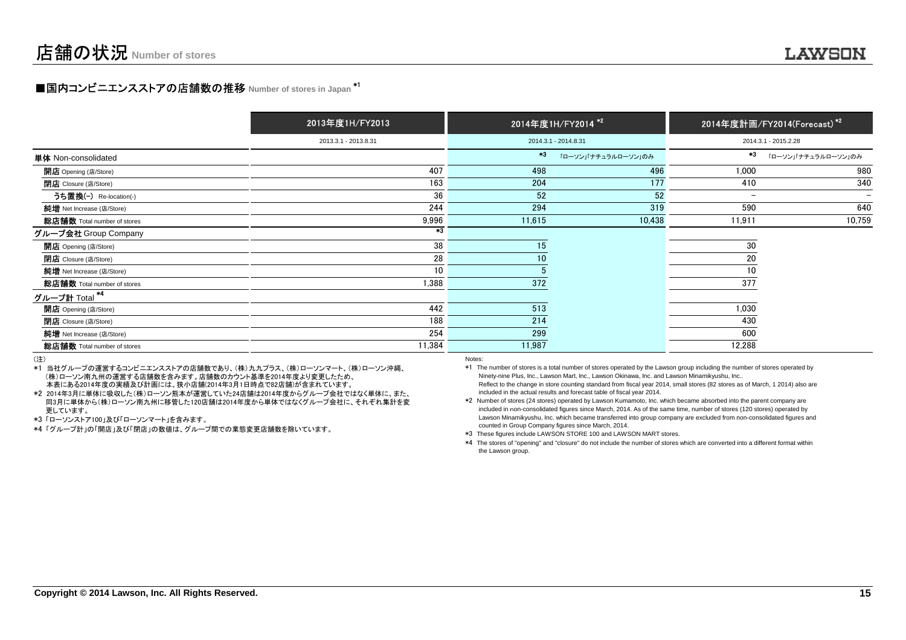# **■国内コンビニエンスストアの店舗数の推移 Number of stores in Japan <sup>\*1</sup>**

|                                  | 2013年度1H/FY2013      |        | 2014年度1H/FY2014 <sup>*2</sup> |                          | 2014年度計画/FY2014(Forecast) <sup>*2</sup> |
|----------------------------------|----------------------|--------|-------------------------------|--------------------------|-----------------------------------------|
|                                  | 2013.3.1 - 2013.8.31 |        | 2014.3.1 - 2014.8.31          |                          | 2014.3.1 - 2015.2.28                    |
| 単体 Non-consolidated              |                      | $*3$   | 「ローソン」「ナチュラルローソン」のみ           | $*3$                     | 「ローソン」「ナチュラルローソン」のみ                     |
| <b>開店</b> Opening (店/Store)      | 407                  | 498    | 496                           | 1,000                    | 980                                     |
| 閉店 Closure (店/Store)             | 163                  | 204    | 177                           | 410                      | 340                                     |
| うち置換(-) Re-location(-)           | 36                   | 52     | 52                            | $\overline{\phantom{0}}$ |                                         |
| 純增 Net Increase (店/Store)        | 244                  | 294    | 319                           | 590                      | 640                                     |
| 総店舗数 Total number of stores      | 9,996                | 11,615 | 10,438                        | 11,911                   | 10,759                                  |
| グループ会社 Group Company             | $*3$                 |        |                               |                          |                                         |
| <b>開店</b> Opening (店/Store)      | 38                   | 15     |                               | 30                       |                                         |
| 閉店 Closure (店/Store)             | 28                   | 10     |                               | 20                       |                                         |
| 純増 Net Increase (店/Store)        | 10                   |        |                               | 10                       |                                         |
| 総店舗数 Total number of stores      | 1,388                | 372    |                               | 377                      |                                         |
| <u>グループ計</u> Total <sup>*4</sup> |                      |        |                               |                          |                                         |
| <b>開店</b> Opening (店/Store)      | 442                  | 513    |                               | 1,030                    |                                         |
| <b>閉店</b> Closure (店/Store)      | 188                  | 214    |                               | 430                      |                                         |
| 純増 Net Increase (店/Store)        | 254                  | 299    |                               | 600                      |                                         |
| 総店舗数 Total number of stores      | 11,384               | 11,987 |                               | 12,288                   |                                         |
|                                  |                      |        |                               |                          |                                         |

(注)

 \*1 当社グループの運営するコンビニエンスストアの店舗数であり、(株)九九プラス、(株)ローソンマート、(株)ローソン沖縄、 (株)ローソン南九州の運営する店舗数を含みます。店舗数のカウント基準を2014年度より変更したため、本表にある2014年度の実績及び計画には、狭小店舗(2014年3月1日時点で82店舗)が含まれています。

 \*2 2014年3月に単体に吸収した(株)ローソン熊本が運営していた24店舗は2014年度からグループ会社ではなく単体に、また、 同3月に単体から(株)ローソン南九州に移管した120店舗は2014年度から単体ではなくグループ会社に、それぞれ集計を変更しています。

\*3 「ローソンストア100」及び「ローソンマート」を含みます。

\*4 「グループ計」の「開店」及び「閉店」の数値は、グループ間での業態変更店舗数を除いています。

Notes:

 \*1 The number of stores is a total number of stores operated by the Lawson group including the number of stores operated by Ninety-nine Plus, Inc., Lawson Mart, Inc., Lawson Okinawa, Inc. and Lawson Minamikyushu, Inc.. Reflect to the change in store counting standard from fiscal year 2014, small stores (82 stores as of March, 1 2014) also areincluded in the actual results and forecast table of fiscal year 2014.

 \*2 Number of stores (24 stores) operated by Lawson Kumamoto, Inc. which became absorbed into the parent company are included in non-consolidated figures since March, 2014. As of the same time, number of stores (120 stores) operated by Lawson Minamikyushu, Inc. which became transferred into group company are excluded from non-consolidated figures andcounted in Group Company figures since March, 2014.

\*3 These figures include LAWSON STORE 100 and LAWSON MART stores.

 \*4 The stores of "opening" and "closure" do not include the number of stores which are converted into a different format withinthe Lawson group.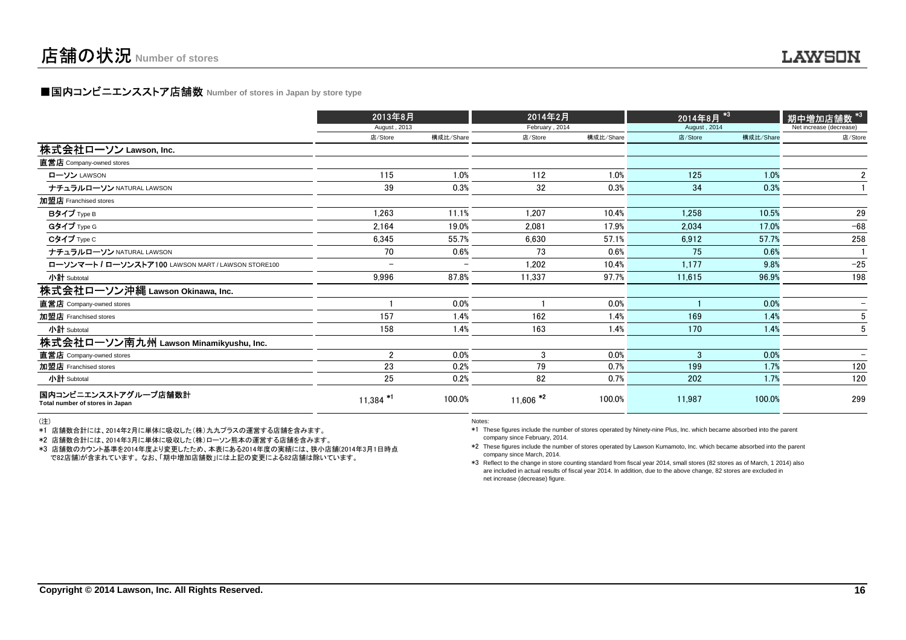## **■国内コンビニエンスストア店舗数 Number of stores in Japan by store type**

|                                                         | 2013年8月                  |                          | 2014年2月                |           | 2014年8月 <sup>*3</sup> |           | ,<br>期中増加 <u>店舗数 *3</u> |
|---------------------------------------------------------|--------------------------|--------------------------|------------------------|-----------|-----------------------|-----------|-------------------------|
|                                                         | August, 2013             |                          | February, 2014         |           | August, 2014          |           | Net increase (decrease) |
|                                                         | 店/Store                  | 構成比/Share                | 店/Store                | 構成比/Share | 店/Store               | 構成比/Share | 店/Store                 |
| 株式会社ローソン Lawson, Inc.                                   |                          |                          |                        |           |                       |           |                         |
| 直営店 Company-owned stores                                |                          |                          |                        |           |                       |           |                         |
| ローソン LAWSON                                             | 115                      | 1.0%                     | 112                    | 1.0%      | 125                   | 1.0%      | $\mathbf{2}$            |
| ナチュラルローソン NATURAL LAWSON                                | 39                       | 0.3%                     | 32                     | 0.3%      | 34                    | 0.3%      |                         |
| 加盟店 Franchised stores                                   |                          |                          |                        |           |                       |           |                         |
| Bタイプ Type B                                             | 1,263                    | 11.1%                    | 1.207                  | 10.4%     | 1,258                 | 10.5%     | 29                      |
| Gタイプ Type G                                             | 2,164                    | 19.0%                    | 2,081                  | 17.9%     | 2,034                 | 17.0%     | $-68$                   |
| Cタイプ Type C                                             | 6,345                    | 55.7%                    | 6,630                  | 57.1%     | 6,912                 | 57.7%     | 258                     |
| ナチュラルローソン NATURAL LAWSON                                | 70                       | 0.6%                     | 73                     | 0.6%      | 75                    | 0.6%      |                         |
| ローソンマート / ローソンストア100 LAWSON MART / LAWSON STORE100      | $\overline{\phantom{0}}$ | $\overline{\phantom{0}}$ | 1,202                  | 10.4%     | 1,177                 | 9.8%      | $-25$                   |
| 小計 Subtotal                                             | 9,996                    | 87.8%                    | 11,337                 | 97.7%     | 11,615                | 96.9%     | 198                     |
| 株式会社ローソン沖縄 Lawson Okinawa, Inc.                         |                          |                          |                        |           |                       |           |                         |
| 直営店 Company-owned stores                                |                          | 0.0%                     |                        | 0.0%      |                       | 0.0%      |                         |
| 加盟店 Franchised stores                                   | 157                      | 1.4%                     | 162                    | 1.4%      | 169                   | 1.4%      |                         |
| 小計 Subtotal                                             | 158                      | 1.4%                     | 163                    | 1.4%      | 170                   | 1.4%      |                         |
| 株式会社ローソン南九州 Lawson Minamikyushu, Inc.                   |                          |                          |                        |           |                       |           |                         |
| 直営店 Company-owned stores                                | $\overline{2}$           | 0.0%                     | 3                      | 0.0%      | 3                     | 0.0%      |                         |
| 加盟店 Franchised stores                                   | 23                       | 0.2%                     | 79                     | 0.7%      | 199                   | 1.7%      | 120                     |
| 小計 Subtotal                                             | 25                       | 0.2%                     | 82                     | 0.7%      | 202                   | 1.7%      | 120                     |
| 国内コンビニエンスストアグループ店舗数計<br>Total number of stores in Japan | $11,384$ *               | 100.0%                   | $11,606$ <sup>*2</sup> | 100.0%    | 11,987                | 100.0%    | 299                     |

(注)

\*1 店舗数合計には、2014年2月に単体に吸収した(株)九九プラスの運営する店舗を含みます。

\*2 店舗数合計には、2014年3月に単体に吸収した(株)ローソン熊本の運営する店舗を含みます。

 \*3 店舗数のカウント基準を2014年度より変更したため、本表にある2014年度の実績には、狭小店舗(2014年3月1日時点で82店舗)が含まれています。 なお、「期中増加店舗数」には上記の変更による82店舗は除いています。

Notes:

 \*1 These figures include the number of stores operated by Ninety-nine Plus, Inc. which became absorbed into the parent company since February, 2014.

 \*2 These figures include the number of stores operated by Lawson Kumamoto, Inc. which became absorbed into the parent company since March, 2014.

 \*3 Reflect to the change in store counting standard from fiscal year 2014, small stores (82 stores as of March, 1 2014) also are included in actual results of fiscal year 2014. In addition, due to the above change, 82 stores are excluded innet increase (decrease) figure.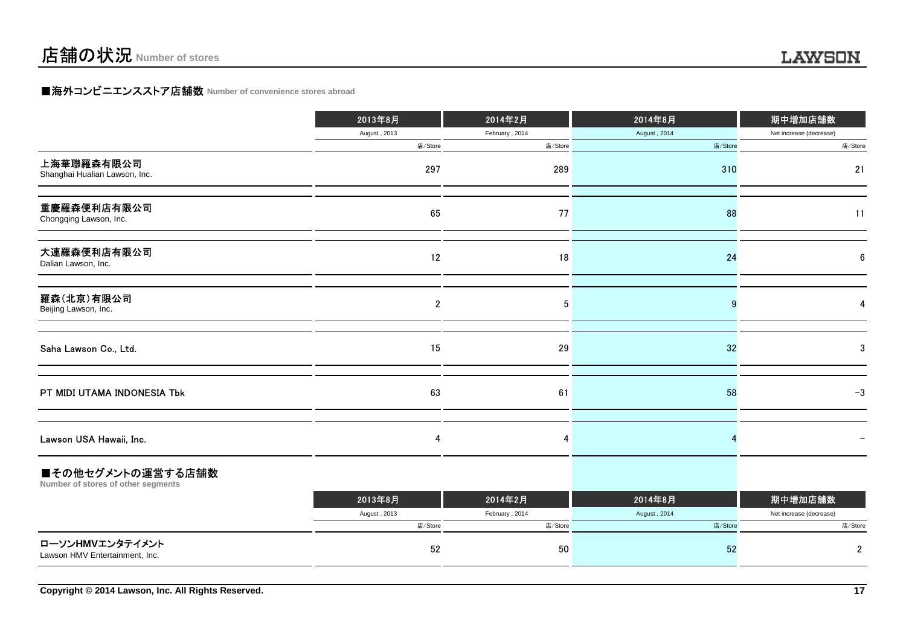## **LAWSON**

## **■海外コンビニエンスストア店舗数 Number of convenience stores abroad**

|                                                         | 2013年8月      | 2014年2月        | 2014年8月      | 期中増加店舗数                 |
|---------------------------------------------------------|--------------|----------------|--------------|-------------------------|
|                                                         | August, 2013 | February, 2014 | August, 2014 | Net increase (decrease) |
|                                                         | 店/Store      | 店/Store        | 店/Store      | 店/Store                 |
| 上海華聯羅森有限公司<br>Shanghai Hualian Lawson, Inc.             | 297          | 289            | 310          | 21                      |
| 重慶羅森便利店有限公司<br>Chongqing Lawson, Inc.                   | 65           | 77             | 88           | 11                      |
| 大連羅森便利店有限公司<br>Dalian Lawson, Inc.                      | 12           | 18             | 24           | 6                       |
| 羅森(北京)有限公司<br>Beijing Lawson, Inc.                      | $\mathbf{2}$ | 5              |              |                         |
| Saha Lawson Co., Ltd.                                   | 15           | 29             | 32           | 3                       |
| PT MIDI UTAMA INDONESIA Tbk                             | 63           | 61             | 58           | $-3$                    |
| Lawson USA Hawaii, Inc.                                 | 4            | 4              |              |                         |
| ■その他セグメントの運営する店舗数<br>Number of stores of other segments |              |                |              |                         |
|                                                         | 2013年8月      | 2014年2月        | 2014年8月      | 期中増加店舗数                 |
|                                                         | August, 2013 | February, 2014 | August, 2014 | Net increase (decrease) |
|                                                         | 店/Store      | 店/Store        | 店/Store      | 店/Store                 |
| ローソンHMVエンタテイメント<br>Lawson HMV Entertainment, Inc.       | 52           | 50             | 52           | 2                       |
|                                                         |              |                |              |                         |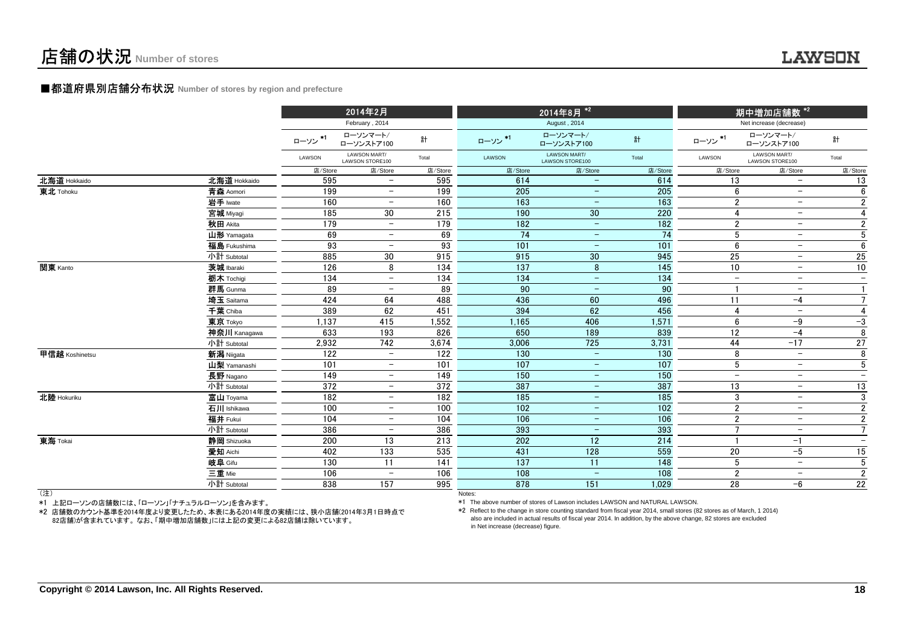## **LAWSON**

#### **■都道府県別店舗分布状況** Number of stores by region and prefecture

|                |              |         | 2014年2月                         |                  |                  | 2014年8月 <sup>*2</sup>           |                  | _<br>期中増加店舗数 <sup>*2 '</sup> |                                 |                          |
|----------------|--------------|---------|---------------------------------|------------------|------------------|---------------------------------|------------------|------------------------------|---------------------------------|--------------------------|
|                |              |         | February, 2014                  |                  |                  | August, 2014                    |                  |                              | Net increase (decrease)         |                          |
|                |              | ローソン*1  | ローソンマート/<br>ローソンストア100          | 計                | ローソン*1           | ローソンマート/<br>ローソンストア100          | 計                | ローソン*1                       | ローソンマート/<br>ローソンストア100          | 計                        |
|                |              | LAWSON  | LAWSON MART/<br>LAWSON STORE100 | Total            | LAWSON           | LAWSON MART/<br>LAWSON STORE100 | Total            | LAWSON                       | LAWSON MART/<br>LAWSON STORE100 | Total                    |
|                |              | 店/Store | 店/Store                         | 店/Store          | 店/Store          | 店/Store                         | 店/Store          | 店/Store                      | 店/Store                         | 店/Store                  |
| 北海道 Hokkaido   | 北海道 Hokkaido | 595     | $\overline{\phantom{a}}$        | 595              | 614              | $\overline{\phantom{m}}$        | 614              | 13                           | $\overline{\phantom{m}}$        | 13                       |
| 東北 Tohoku      | 青森 Aomori    | 199     | $-$                             | 199              | 205              | $\overline{\phantom{m}}$        | 205              | 6                            | $\overline{\phantom{a}}$        | 6                        |
|                | 岩手 lwate     | 160     |                                 | 160              | 163              | $\overline{\phantom{m}}$        | 163              | $\overline{2}$               | $\overline{\phantom{m}}$        | $\overline{2}$           |
|                | 宮城 Miyagi    | 185     | 30                              | 215              | 190              | $30\,$                          | 220              | 4                            | $\overline{\phantom{m}}$        | $\overline{4}$           |
|                | 秋田 Akita     | 179     | $\overline{\phantom{a}}$        | 179              | 182              | $\overline{\phantom{m}}$        | 182              | $\overline{2}$               | $\overline{\phantom{m}}$        | $\boldsymbol{2}$         |
|                | 山形 Yamagata  | 69      | $\overline{\phantom{0}}$        | 69               | $\overline{74}$  | $\overline{\phantom{m}}$        | $\overline{74}$  | 5                            | $\overline{\phantom{m}}$        | $\overline{5}$           |
|                | 福島 Fukushima | 93      |                                 | 93               | $\frac{1}{101}$  | $\qquad \qquad -$               | 101              | 6                            | $\overline{\phantom{a}}$        | 6                        |
|                | 小計 Subtotal  | 885     | 30                              | 915              | 915              | 30                              | 945              | 25                           | $\overline{\phantom{a}}$        | 25                       |
| 関東 Kanto       | 茨城 Ibaraki   | 126     | 8                               | 134              | 137              | 8                               | 145              | 10 <sup>1</sup>              | $\overline{\phantom{a}}$        | 10                       |
|                | 栃木 Tochigi   | 134     | $\overline{\phantom{0}}$        | 134              | 134              | $\qquad \qquad -$               | 134              | $\overline{\phantom{a}}$     | $\overline{\phantom{m}}$        | $\overline{\phantom{m}}$ |
|                | 群馬 Gunma     | 89      |                                 | 89               | 90               | $\qquad \qquad -$               | 90               |                              | $\overline{\phantom{m}}$        | $\mathbf{1}$             |
|                | 埼玉 Saitama   | 424     | 64                              | 488              | 436              | 60                              | 496              | 11                           | $-4$                            | $\overline{7}$           |
|                | 千葉 Chiba     | 389     | 62                              | 451              | 394              | 62                              | 456              | Δ                            | $\overline{\phantom{m}}$        | $\overline{4}$           |
|                | 東京 Tokyo     | 1,137   | 415                             | 1,552            | 1,165            | 406                             | 1,571            | 6                            | $-9$                            | $-3$                     |
|                | 神奈川 Kanagawa | 633     | 193                             | 826              | 650              | 189                             | 839              | 12                           | $-4$                            | 8                        |
|                | 小計 Subtotal  | 2,932   | 742                             | 3,674            | 3,006            | 725                             | 3,731            | 44                           | $-17$                           | $\overline{27}$          |
| 甲信越 Koshinetsu | 新潟 Niigata   | 122     | $-$                             | 122              | 130              | $\overline{\phantom{m}}$        | 130              | 8                            | $\overline{\phantom{a}}$        | 8                        |
|                | 山梨 Yamanashi | 101     | $\overline{\phantom{a}}$        | 101              | 107              | $\overline{\phantom{m}}$        | 107              | 5                            | $\overline{\phantom{m}}$        | 5                        |
|                | 長野 Nagano    | 149     | $\overline{\phantom{a}}$        | 149              | 150              | $\overline{\phantom{m}}$        | 150              | $\overline{\phantom{m}}$     | $\overline{\phantom{m}}$        | $\overline{\phantom{a}}$ |
|                | 小計 Subtotal  | 372     | $\overline{\phantom{m}}$        | 372              | 387              | $\overline{\phantom{m}}$        | 387              | 13                           | $\overline{\phantom{m}}$        | 13                       |
| 北陸 Hokuriku    | 富山 Toyama    | 182     | $\overline{\phantom{a}}$        | 182              | $\overline{185}$ | $\overline{\phantom{m}}$        | 185              | $\mathbf{3}$                 | $\overline{\phantom{m}}$        | 3                        |
|                | 石川 Ishikawa  | 100     | $\overline{\phantom{a}}$        | 100              | $\frac{102}{ }$  | $\overline{\phantom{m}}$        | $\frac{1}{102}$  | $\overline{2}$               | $\overline{\phantom{m}}$        | $\overline{2}$           |
|                | 福井 Fukui     | 104     | $\overline{\phantom{0}}$        | 104              | 106              | $\overline{\phantom{m}}$        | 106              | $\overline{2}$               | $\overline{\phantom{a}}$        | $\sqrt{2}$               |
|                | 小計 Subtotal  | 386     |                                 | 386              | 393              | $\qquad \qquad -$               | 393              |                              | $\overline{\phantom{a}}$        | $\overline{7}$           |
| 東海 Tokai       | 静岡 Shizuoka  | 200     | 13                              | 213              | 202              | 12                              | 214              |                              | $-1$                            | $\overline{\phantom{a}}$ |
|                | 愛知 Aichi     | 402     | 133                             | 535              | 431              | 128                             | 559              | 20                           | $-5$                            | 15                       |
|                | 岐阜 Gifu      | 130     | 11                              | $\overline{141}$ | 137              | 11                              | $\overline{148}$ | 5                            | $\overline{\phantom{m}}$        | $\overline{5}$           |
|                | 三重 Mie       | 106     | $\overline{\phantom{0}}$        | 106              | 108              | $\equiv$                        | 108              | $\overline{2}$               | $\overline{\phantom{m}}$        | $\overline{2}$           |
|                | 小計 Subtotal  | 838     | 157                             | 995              | 878              | 151                             | 1,029            | 28                           | $-6$                            | 22                       |
| (注)            |              |         |                                 |                  | Notes:           |                                 |                  |                              |                                 |                          |

(注)

\*1 上記ローソンの店舗数には、「ローソン」「ナチュラルローソン」を含みます。

 \*2 店舗数のカウント基準を2014年度より変更したため、本表にある2014年度の実績には、狭小店舗(2014年3月1日時点で82店舗)が含まれています。 なお、「期中増加店舗数」には上記の変更による82店舗は除いています。

\*1 The above number of stores of Lawson includes LAWSON and NATURAL LAWSON.

 \*2 Reflect to the change in store counting standard from fiscal year 2014, small stores (82 stores as of March, 1 2014)also are included in actual results of fiscal year 2014. In addition, by the above change, 82 stores are excludedin Net increase (decrease) figure.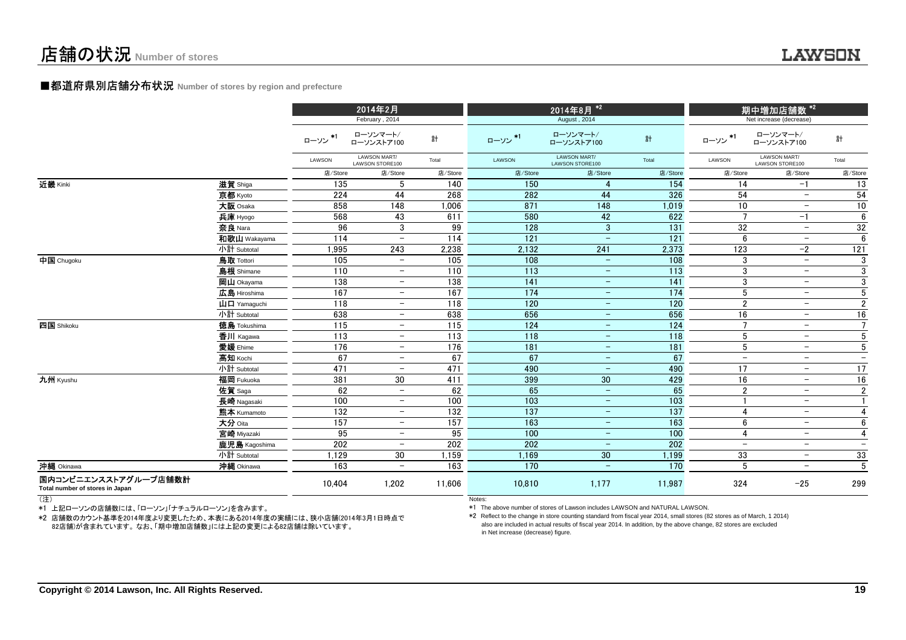## ■都道府県別店舗分布状況 **Number of stores by region and prefecture**

|                                                         |                                                           |              | 2014年2月                         |         |         | 2014年8月 <sup>*2</sup>                  |                 |                          |                                 |                          |
|---------------------------------------------------------|-----------------------------------------------------------|--------------|---------------------------------|---------|---------|----------------------------------------|-----------------|--------------------------|---------------------------------|--------------------------|
|                                                         |                                                           |              | February, 2014                  |         |         | August, 2014                           |                 |                          | Net increase (decrease)         |                          |
|                                                         |                                                           | $*1$<br>ローソン | ローソンマート/<br>ローソンストア100          | 計       | ローソン*1  | ローソンマート/<br>ローソンストア100                 | 計               | $+1$<br>ローソン             | ローソンマート/<br>ローソンストア100          | 計                        |
|                                                         |                                                           | LAWSON       | LAWSON MART/<br>LAWSON STORE100 | Total   | LAWSON  | <b>LAWSON MART/</b><br>LAWSON STORE100 | Total           | LAWSON                   | LAWSON MART/<br>LAWSON STORE100 | Total                    |
|                                                         |                                                           | 店/Store      | 店/Store                         | 店/Store | 店/Store | 店/Store                                | 店/Store         | 店/Store                  | 店/Store                         | 店/Store                  |
| 近畿 Kinki                                                | 滋賀 Shiga                                                  | 135          | 5                               | 140     | 150     | 4                                      | 154             | 14                       | $-1$                            | 13                       |
|                                                         | 京都 Kyoto                                                  | 224          | 44                              | 268     | 282     | 44                                     | 326             | 54                       | $\overline{\phantom{a}}$        | 54                       |
|                                                         | 大阪 Osaka                                                  | 858          | 148                             | 1,006   | 871     | 148                                    | 1,019           | 10                       | $\overline{\phantom{0}}$        | 10                       |
|                                                         | 兵庫 Hyogo                                                  | 568          | 43                              | 611     | 580     | 42                                     | 622             | $\mathbf{z}$             | $-1$                            | 6                        |
|                                                         | 奈良 Nara                                                   | 96           | 3                               | 99      | 128     | $\mathbf{3}$                           | 131             | 32                       | $\overline{\phantom{a}}$        | 32                       |
|                                                         | 和歌山 Wakayama                                              | 114          | $\equiv$                        | 114     | 121     | $\overline{\phantom{m}}$               | 121             | 6                        | $\overline{\phantom{0}}$        | 6                        |
|                                                         | 小計 Subtotal                                               | 1.995        | 243                             | 2,238   | 2,132   | 241                                    | 2,373           | 123                      | $-2$                            | 121                      |
| 中国 Chugoku                                              | <b>鳥取 Tottori</b>                                         | 105          | $\overline{\phantom{0}}$        | 105     | 108     | $\qquad \qquad -$                      | 108             | 3                        | $\overline{\phantom{a}}$        | 3                        |
|                                                         | 島根 Shimane                                                | 110          | $\overline{\phantom{0}}$        | 110     | 113     | $\overline{\phantom{m}}$               | 113             | 3                        | $\overline{\phantom{0}}$        | 3                        |
|                                                         | 岡山 Okayama                                                | 138          | $\overline{\phantom{m}}$        | 138     | 141     | $\qquad \qquad -$                      | 141             | 3                        | $\overline{\phantom{0}}$        | 3                        |
|                                                         | 広島 Hiroshima                                              | 167          | $\overline{\phantom{m}}$        | 167     | 174     | $\qquad \qquad -$                      | 174             | 5                        | $\overline{\phantom{a}}$        | 5                        |
|                                                         | $\mathbf{\mathbf{\mu}}$ $\mathbf{\mathbf{\Pi}}$ Yamaquchi | 118          | $\overline{\phantom{a}}$        | 118     | 120     | $\overline{\phantom{m}}$               | 120             | $\overline{2}$           | $\overline{\phantom{a}}$        | $\overline{2}$           |
|                                                         | 小計 Subtotal                                               | 638          | $\overline{\phantom{a}}$        | 638     | 656     | $\qquad \qquad -$                      | 656             | 16                       | $\qquad \qquad -$               | 16                       |
| 四国 Shikoku                                              | <b>徳島</b> Tokushima                                       | 115          | $\overline{\phantom{a}}$        | 115     | 124     | $\overline{\phantom{m}}$               | 124             | $\overline{7}$           | $-$                             | $\overline{7}$           |
|                                                         | 香川 Kagawa                                                 | 113          | $\overline{\phantom{a}}$        | 113     | 118     | $\overline{\phantom{m}}$               | 118             | 5                        | $\overline{\phantom{a}}$        | $5\phantom{.0}$          |
|                                                         | 愛媛 Ehime                                                  | 176          | $\overline{\phantom{a}}$        | 176     | 181     | $\overline{\phantom{m}}$               | 181             | 5                        | $\overline{\phantom{a}}$        | $5\phantom{.0}$          |
|                                                         | 高知 Kochi                                                  | 67           | $\overline{\phantom{a}}$        | 67      | 67      | $\overline{\phantom{m}}$               | 67              | $\overline{\phantom{a}}$ | $\overline{\phantom{a}}$        | $\overline{\phantom{a}}$ |
|                                                         | 小計 Subtotal                                               | 471          | $\overline{\phantom{a}}$        | 471     | 490     | $\overline{\phantom{m}}$               | 490             | 17                       | $\overline{\phantom{a}}$        | $\overline{17}$          |
| 九州 Kyushu                                               | 福岡 Fukuoka                                                | 381          | 30                              | 411     | 399     | 30                                     | 429             | 16                       | $-$                             | 16                       |
|                                                         | 佐賀 Saga                                                   | 62           | $\overline{\phantom{a}}$        | 62      | 65      | $\equiv$                               | 65              | $\overline{2}$           | $\overline{\phantom{a}}$        | $\mathbf{2}$             |
|                                                         | 長崎 Nagasaki                                               | 100          | $\qquad \qquad -$               | 100     | 103     | $\qquad \qquad -$                      | $\frac{103}{ }$ |                          | $\overline{\phantom{0}}$        | $\mathbf{1}$             |
|                                                         | 熊本 Kumamoto                                               | 132          | $\overline{\phantom{a}}$        | 132     | 137     | $\overline{\phantom{m}}$               | 137             | $\boldsymbol{A}$         | $\overline{\phantom{0}}$        | $\overline{4}$           |
|                                                         | 大分 Oita                                                   | 157          | $\overline{\phantom{0}}$        | 157     | 163     | $\overline{\phantom{m}}$               | 163             | $6\phantom{1}6$          | $\overline{\phantom{a}}$        | 6                        |
|                                                         | 宮崎 Miyazaki                                               | 95           | $\overline{\phantom{m}}$        | 95      | 100     | $\overline{\phantom{m}}$               | 100             | $\overline{4}$           | $\overline{\phantom{a}}$        | $\overline{4}$           |
|                                                         | 鹿児島 Kagoshima                                             | 202          | $\overline{\phantom{m}}$        | 202     | 202     | $\overline{\phantom{0}}$               | 202             |                          | $\overline{\phantom{0}}$        | $\overline{\phantom{0}}$ |
|                                                         | 小計 Subtotal                                               | 1,129        | 30                              | 1,159   | 1,169   | 30                                     | 1,199           | 33                       | $\overline{\phantom{0}}$        | 33                       |
| 沖縄 Okinawa                                              | 沖縄 Okinawa                                                | 163          | $\overline{\phantom{0}}$        | 163     | 170     | $\qquad \qquad -$                      | 170             | 5                        | -                               | $\overline{5}$           |
| 国内コンビニエンスストアグループ店舗数計<br>Total number of stores in Japan |                                                           | 10.404       | 1,202                           | 11.606  | 10.810  | 1,177                                  | 11.987          | 324                      | $-25$                           | 299                      |

(注)

\*1 上記ローソンの店舗数には、「ローソン」「ナチュラルローソン」を含みます。

 \*2 店舗数のカウント基準を2014年度より変更したため、本表にある2014年度の実績には、狭小店舗(2014年3月1日時点で。<br>82店舗)が含まれています。なお、「期中増加店舗数」には上記の変更による82店舗は除いています。

Notes:

\*1 The above number of stores of Lawson includes LAWSON and NATURAL LAWSON.

 \*2 Reflect to the change in store counting standard from fiscal year 2014, small stores (82 stores as of March, 1 2014)also are included in actual results of fiscal year 2014. In addition, by the above change, 82 stores are excludedin Net increase (decrease) figure.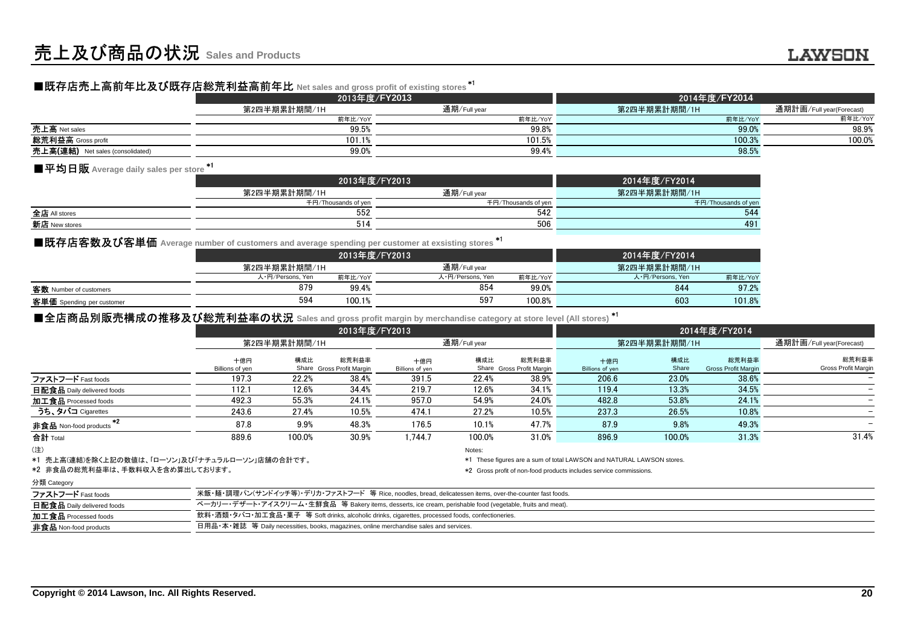# ■既存店売上高前年比及び既存店総荒利益高前年比 **Net sales and gross profit of existing stores** \*1

|                                  | 2013年度/FY2013 |              | 2014年度/FY2014 |                          |  |  |
|----------------------------------|---------------|--------------|---------------|--------------------------|--|--|
|                                  | 第2四半期累計期間/1H  | 通期/Full year | 第2四半期累計期間/1H  | 通期計画/Full year(Forecast) |  |  |
|                                  | 前年比/YoY       | 前年比/YoY      | 前年比/YoY       | 前年比/YoY                  |  |  |
| 売上高 Net sales                    | 99.5%         | 99.8%        | 99.0%         | 98.9%                    |  |  |
| <b>総荒利益高</b> Gross profit        | 101.1%        | 101.5%       | 100.3%        | 100.0%                   |  |  |
| 克上高(連結) Net sales (consolidated) | 99.0%         | 99.4%        | 98.5%         |                          |  |  |

## ■平均日販 Average daily sales per store <sup>\*1</sup>

|               | 2013年度/FY2013       | 2014年度/FY2014       |                     |  |
|---------------|---------------------|---------------------|---------------------|--|
|               | 第2四半期累計期間/1H        | 通期/Full year        | 第2四半期累計期間/1H        |  |
|               | 千円/Thousands of yen | 千円/Thousands of yen | 千円/Thousands of yen |  |
| 全店 All stores | 552                 | 542                 | 544                 |  |
| 新店 New stores | 514                 | 506                 | 491                 |  |
|               |                     |                     |                     |  |

## ■既存店客数及び客単価 Average number of customers and average spending per customer at exsisting stores <sup>\*1</sup>

|                           |                  | 2013年度/FY2013 |                  |         | 2014年度/FY2014    |         |
|---------------------------|------------------|---------------|------------------|---------|------------------|---------|
|                           | 第2四半期累計期間/1H     |               | 通期/Full year     |         | 第2四半期累計期間/1H     |         |
|                           | 人·円/Persons, Yen | 前年比/YoY       | 人·円/Persons, Yen | 前年比/YoY | 人·円/Persons, Yen | 前年比/YoY |
| 客数 Number of customers    | 879              | 99.4%         | 854              | 99.0%   | 844              | 97.2%   |
| 客単価 Spending per customer | 594              | 100.1%        | 597              | 100.8%  | 603              | 101.8%  |
|                           |                  |               |                  |         |                  |         |

|                                                                                                              |                                                                                                            |                  | 2013年度/FY2013             |                 |                  |                           |                                                                       |                  | 2014年度/FY2014              |                          |
|--------------------------------------------------------------------------------------------------------------|------------------------------------------------------------------------------------------------------------|------------------|---------------------------|-----------------|------------------|---------------------------|-----------------------------------------------------------------------|------------------|----------------------------|--------------------------|
|                                                                                                              |                                                                                                            | 第2四半期累計期間/1H     |                           |                 | 通期/Full year     |                           |                                                                       | 第2四半期累計期間/1H     |                            | 通期計画/Full year(Forecast) |
|                                                                                                              |                                                                                                            |                  | 前年比/YoY                   |                 |                  | 前年比/YoY                   |                                                                       |                  | 前年比/YoY                    | 前年比/YoY                  |
| 売上高 Net sales                                                                                                |                                                                                                            |                  | 99.5%                     |                 |                  | 99.8%                     |                                                                       |                  | 99.0%                      | 98.9%                    |
| 総荒利益高 Gross profit                                                                                           |                                                                                                            |                  | 101.1%                    |                 |                  | 101.5%                    |                                                                       |                  | 100.3%                     | 100.0%                   |
| 売上高(連結) Net sales (consolidated)                                                                             |                                                                                                            |                  | 99.0%                     |                 |                  | 99.4%                     |                                                                       |                  | 98.5%                      |                          |
| ■平均日販 Average daily sales per store *1                                                                       |                                                                                                            |                  |                           |                 |                  |                           |                                                                       |                  |                            |                          |
|                                                                                                              |                                                                                                            |                  | 2013年度/FY2013             |                 |                  |                           |                                                                       | 2014年度/FY2014    |                            |                          |
|                                                                                                              |                                                                                                            | 第2四半期累計期間/1H     |                           |                 | 通期/Full year     |                           |                                                                       | 第2四半期累計期間/1H     |                            |                          |
|                                                                                                              |                                                                                                            |                  | 千円/Thousands of yen       |                 |                  | 千円/Thousands of yen       |                                                                       |                  | 千円/Thousands of yen        |                          |
| 全店 All stores                                                                                                |                                                                                                            |                  | 552                       |                 |                  | 542                       |                                                                       |                  | 544                        |                          |
| 新店 New stores                                                                                                |                                                                                                            |                  | 514                       |                 |                  | 506                       |                                                                       |                  | 491                        |                          |
|                                                                                                              |                                                                                                            |                  |                           |                 |                  |                           |                                                                       |                  |                            |                          |
| ■既存店客数及び客単価 Average number of customers and average spending per customer at exsisting stores *1             |                                                                                                            |                  |                           |                 |                  |                           |                                                                       |                  |                            |                          |
|                                                                                                              |                                                                                                            |                  | 2013年度/FY2013             |                 |                  |                           |                                                                       | 2014年度/FY2014    |                            |                          |
|                                                                                                              |                                                                                                            | 第2四半期累計期間/1H     |                           |                 | 通期/Full year     |                           |                                                                       | 第2四半期累計期間/1H     |                            |                          |
|                                                                                                              |                                                                                                            | 人·円/Persons, Yen | 前年比/YoY                   |                 | 人·円/Persons, Yen | 前年比/YoY                   |                                                                       | 人·円/Persons, Yen | 前年比/YoY                    |                          |
| 客数 Number of customers                                                                                       |                                                                                                            | 879              | 99.4%                     |                 | 854              | 99.0%                     |                                                                       | 844              | 97.2%                      |                          |
| 客単価 Spending per customer                                                                                    |                                                                                                            | 594              | 100.1%                    |                 | 597              | 100.8%                    |                                                                       | 603              | 101.8%                     |                          |
| ■全店商品別販売構成の推移及び総荒利益率の状況 Sales and gross profit margin by merchandise category at store level (All stores) *1 |                                                                                                            |                  |                           |                 |                  |                           |                                                                       |                  |                            |                          |
|                                                                                                              |                                                                                                            |                  | 2013年度/FY2013             |                 |                  |                           |                                                                       |                  |                            |                          |
|                                                                                                              |                                                                                                            |                  |                           |                 |                  |                           |                                                                       |                  | 2014年度/FY2014              |                          |
|                                                                                                              |                                                                                                            | 第2四半期累計期間/1H     |                           | 通期/Full year    |                  |                           | 第2四半期累計期間/1H                                                          |                  |                            | 通期計画/Full year(Forecast) |
|                                                                                                              | 十億円                                                                                                        | 構成比              | 総荒利益率                     | 十億円             | 構成比              | 総荒利益率                     | 十億円                                                                   | 構成比              | 総荒利益率                      | 総荒利益率                    |
|                                                                                                              | Billions of yen                                                                                            |                  | Share Gross Profit Margin | Billions of yen |                  | Share Gross Profit Margin | Billions of yen                                                       | Share            | <b>Gross Profit Margir</b> | Gross Profit Margin      |
| ファストフード Fast foods                                                                                           | 197.3                                                                                                      | 22.2%            | 38.4%                     | 391.5           | 22.4%            | 38.9%                     | 206.6                                                                 | 23.0%            | 38.6%                      |                          |
| 日配食品 Daily delivered foods                                                                                   | 112.1                                                                                                      | 12.6%            | 34.4%                     | 219.7           | 12.6%            | 34.1%                     | 119.4                                                                 | 13.3%            | 34.5%                      |                          |
| 加工食品 Processed foods                                                                                         | 492.3                                                                                                      | 55.3%            | 24.1%                     | 957.0           | 54.9%            | 24.0%                     | 482.8                                                                 | 53.8%            | 24.1%                      |                          |
| うち、タバコ Cigarettes                                                                                            | 243.6                                                                                                      | 27.4%            | 10.5%                     | 474.1           | 27.2%            | 10.5%                     | 237.3                                                                 | 26.5%            | 10.8%                      |                          |
| $*2$<br>非食品 Non-food products                                                                                | 87.8                                                                                                       | 9.9%             | 48.3%                     | 176.5           | 10.1%            | 47.7%                     | 87.9                                                                  | 9.8%             | 49.3%                      |                          |
| 合計 Total                                                                                                     | 889.6                                                                                                      | 100.0%           | 30.9%                     | 1.744.7         | 100.0%           | 31.0%                     | 896.9                                                                 | 100.0%           | 31.3%                      | 31.4%                    |
| (注)                                                                                                          |                                                                                                            |                  |                           |                 | Notes:           |                           |                                                                       |                  |                            |                          |
| *1 売上高(連結)を除く上記の数値は、「ローソン」及び「ナチュラルローソン」店舗の合計です。                                                              |                                                                                                            |                  |                           |                 |                  |                           | *1 These figures are a sum of total LAWSON and NATURAL LAWSON stores. |                  |                            |                          |
| *2 非食品の総荒利益率は、手数料収入を含め算出しております。                                                                              |                                                                                                            |                  |                           |                 |                  |                           | *2 Gross profit of non-food products includes service commissions.    |                  |                            |                          |
| 分類 Category                                                                                                  |                                                                                                            |                  |                           |                 |                  |                           |                                                                       |                  |                            |                          |
| ファストフード Fast foods                                                                                           | 米飯·麺·調理パン(サンドイッチ等)·デリカ·ファストフード 等 Rice, noodles, bread, delicatessen items, over-the-counter fast foods.    |                  |                           |                 |                  |                           |                                                                       |                  |                            |                          |
| 日配食品 Daily delivered foods                                                                                   | ベーカリー・デザート・アイスクリーム・生鮮食品 等 Bakery items, desserts, ice cream, perishable food (vegetable, fruits and meat). |                  |                           |                 |                  |                           |                                                                       |                  |                            |                          |
| 加工食品 Processed foods                                                                                         | 飲料・酒類・タバコ・加工食品・菓子 等 Soft drinks, alcoholic drinks, cigarettes, processed foods, confectioneries.           |                  |                           |                 |                  |                           |                                                                       |                  |                            |                          |

#### 分類 Category

| 米飯・麺・調理パン(サンドイッチ等)・デリカ・ファストフード 等 Rice, noodles, bread, delicatessen items, over-the-counter fast foods.    |
|------------------------------------------------------------------------------------------------------------|
| ベーカリー・デザート・アイスクリーム・生鮮食品 等 Bakery items, desserts, ice cream, perishable food (vegetable, fruits and meat). |
| 飲料・酒類・タバコ・加工食品・菓子 等 Soft drinks, alcoholic drinks, cigarettes, processed foods, confectioneries.           |
| 日用品・本・雑誌 等 Daily necessities, books, magazines, online merchandise sales and services.                     |
|                                                                                                            |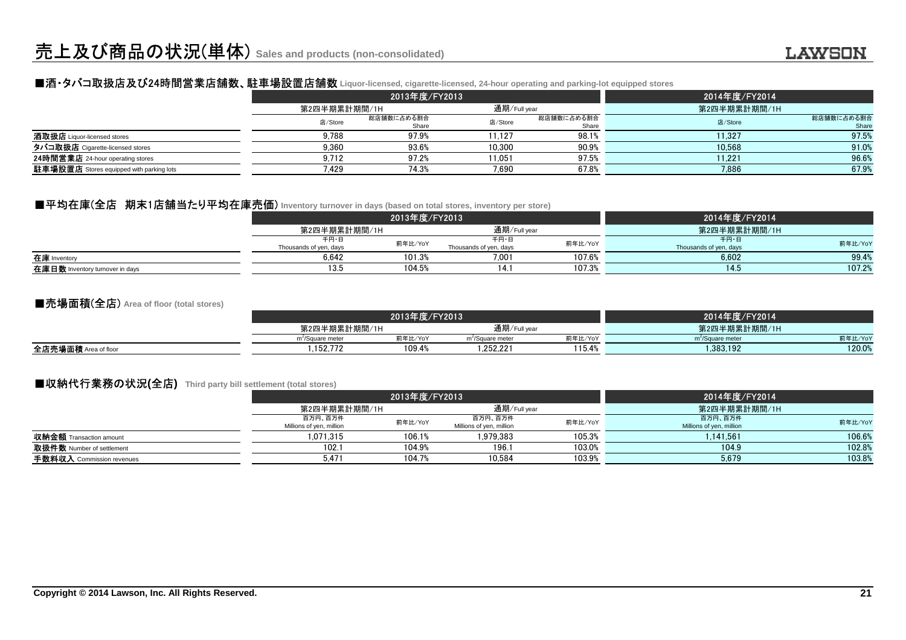#### ■酒・タバコ取扱店及び24時間営業店舗数、駐車場設置店舗数 **Liquor-licensed, cigarette-licensed, 24-hour operating and parking-lot equipped stores**

|                                                 |              | 2013年度/FY2013       |              | 2014年度/FY2014       |              |                     |
|-------------------------------------------------|--------------|---------------------|--------------|---------------------|--------------|---------------------|
|                                                 | 第2四半期累計期間/1H |                     | 通期/Full year |                     | 第2四半期累計期間/1H |                     |
|                                                 | 店/Store      | 総店舗数に占める割合<br>Share | 店/Store      | 総店舗数に占める割合<br>Share | 店/Store      | 総店舗数に占める割合<br>Share |
| 酒取扱店 Liquor-licensed stores                     | 9.788        | 97.9%               | 11.127       | 98.1%               | 11.327       | 97.5%               |
| タバコ取扱店 Cigarette-licensed stores                | 9.360        | 93.6%               | 10.300       | 90.9%               | 10.568       | 91.0%               |
| 24時間営業店 24-hour operating stores                | 9,712        | 97.2%               | 11,051       | 97.5%               | 11,221       | 96.6%               |
| <b>駐車場設置店</b> Stores equipped with parking lots | 7.429        | 74.3%               | 7,690        | 67.8%               | 7,886        | 67.9%               |

#### ■平均在庫(全店 期末1店舗当たり平均在庫売価) Inventory turnover in days (based on total stores, inventory per store)

|                                 |                        | 2013年度/FY2013 |                        | 2014年度/FY2014 |                        |         |
|---------------------------------|------------------------|---------------|------------------------|---------------|------------------------|---------|
|                                 | 第2四半期累計期間/1H           |               | 通期/Full year           |               | 第2四半期累計期間/1H           |         |
|                                 | 千円・日                   |               | 千円・日                   | 前年比/YoY       | 千円・日                   | 前年比/YoY |
|                                 | Thousands of yen, days | 前年比/YoY       | Thousands of yen, days |               | Thousands of yen, days |         |
| 在庫 Inventory                    | 6.642                  | 101.3%        | 7.001                  | 107.6%        | 6,602                  | 99.4%   |
| 在庫日数 Inventory turnover in days | 13.5                   | 104.5%        | 14.1                   | 107.3%        | 14.5                   | 107.2%  |
|                                 |                        |               |                        |               |                        |         |

#### ■売場面積(全店) **Area of floor (total stores)**

|                         | 2013年度/FY2013                |         |                              |         | 2014年度/FY2014                |         |  |
|-------------------------|------------------------------|---------|------------------------------|---------|------------------------------|---------|--|
|                         | 第2四半期累計期間/1H                 |         | 通期/Full year                 |         | 第2四半期累計期間/1H                 |         |  |
|                         | m <sup>2</sup> /Square meter | 前年比/YoY | m <sup>2</sup> /Square meter | 前年比/YoY | m <sup>2</sup> /Square meter | 前年比/YoY |  |
| 全店売場面積<br>Area of floor | .152.772                     | 109.4%  | .252.221                     | 15.4%   | 1.383.192                    | 120.0%  |  |
|                         |                              |         |                              |         |                              |         |  |

### ■収納代行業務の状況**(**全店**) Third party bill settlement (total stores)**

|                                |                          | 2013年度/FY2013 |                          | 2014年度/FY2014 |                          |         |
|--------------------------------|--------------------------|---------------|--------------------------|---------------|--------------------------|---------|
|                                | 第2四半期累計期間/1H             |               | 通期/Full year             |               | 第2四半期累計期間/1H             |         |
|                                | 百万円、百万件                  | 前年比/YoY       | 百万円、百万件                  | 前年比/YoY       | 百万円、百万件                  | 前年比/YoY |
|                                | Millions of yen, million |               | Millions of yen, million |               | Millions of yen, million |         |
| <b>収納金額</b> Transaction amount | 1.071.315                | 106.1%        | 1.979.383                | 105.3%        | 1.141.561                | 106.6%  |
| 取扱件数 Number of settlement      | 102.7                    | 104.9%        | 196.                     | 103.0%        | 104.9                    | 102.8%  |
| 手数料収入 Commission revenues      | 5.471                    | 104.7%        | 10.584                   | 103.9%        | 5.679                    | 103.8%  |
|                                |                          |               |                          |               |                          |         |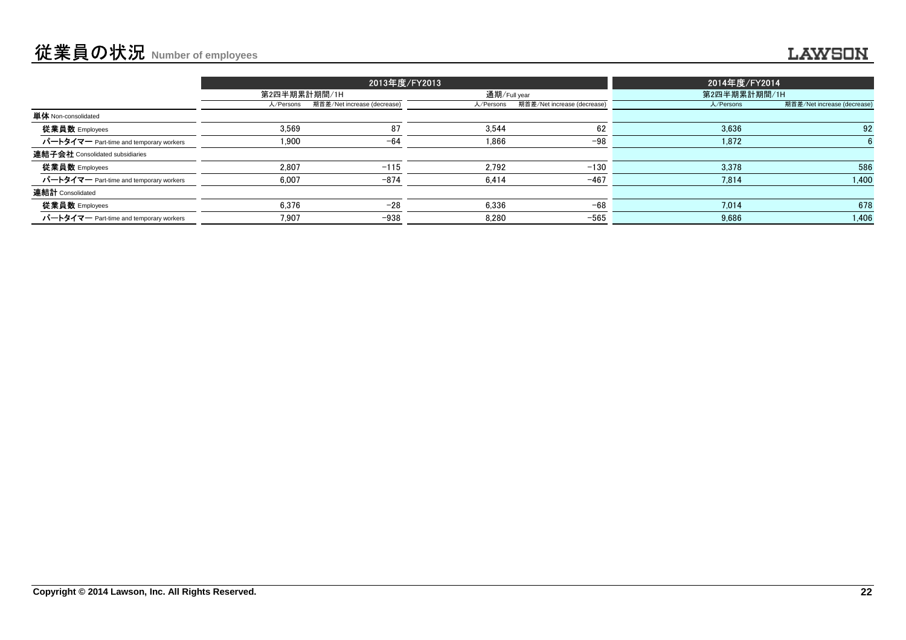|                                         |              |                             | 2013年度/FY2013 |                             | 2014年度/FY2014 |                             |  |
|-----------------------------------------|--------------|-----------------------------|---------------|-----------------------------|---------------|-----------------------------|--|
|                                         | 第2四半期累計期間/1H |                             | 通期/Full year  |                             | 第2四半期累計期間/1H  |                             |  |
|                                         | 人/Persons    | 期首差/Net increase (decrease) | 人/Persons     | 期首差/Net increase (decrease) | 人/Persons     | 期首差/Net increase (decrease) |  |
| <b>単体</b> Non-consolidated              |              |                             |               |                             |               |                             |  |
| 従業員数 Employees                          | 3.569        | 87                          | 3.544         | 62                          | 3.636         | 92                          |  |
| パートタイマー Part-time and temporary workers | 1,900        | $-64$                       | 1,866         | $-98$                       | 1,872         |                             |  |
| 連結子会社 Consolidated subsidiaries         |              |                             |               |                             |               |                             |  |
| 従業員数 Employees                          | 2.807        | $-115$                      | 2.792         | $-130$                      | 3,378         | 586                         |  |
| パートタイマー Part-time and temporary workers | 6,007        | $-874$                      | 6.414         | $-467$                      | 7.814         | 1,400                       |  |
| 連結計 Consolidated                        |              |                             |               |                             |               |                             |  |
| 従業員数 Employees                          | 6.376        | $-28$                       | 6.336         | $-68$                       | 7.014         | 678                         |  |
| パートタイマー Part-time and temporary workers | 7,907        | $-938$                      | 8,280         | $-565$                      | 9,686         | 1,406                       |  |
|                                         |              |                             |               |                             |               |                             |  |